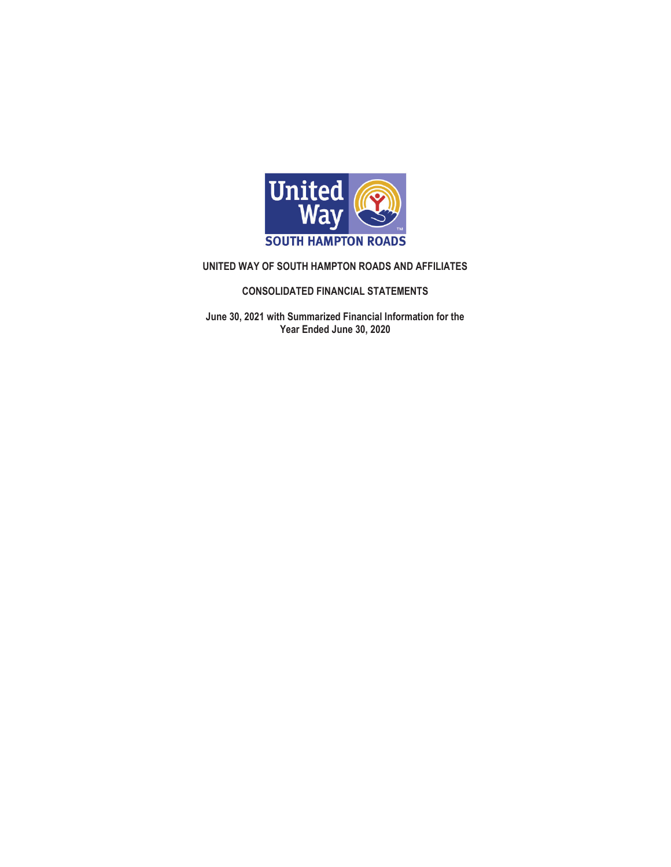

## **CONSOLIDATED FINANCIAL STATEMENTS**

**June 30, 2021 with Summarized Financial Information for the Year Ended June 30, 2020**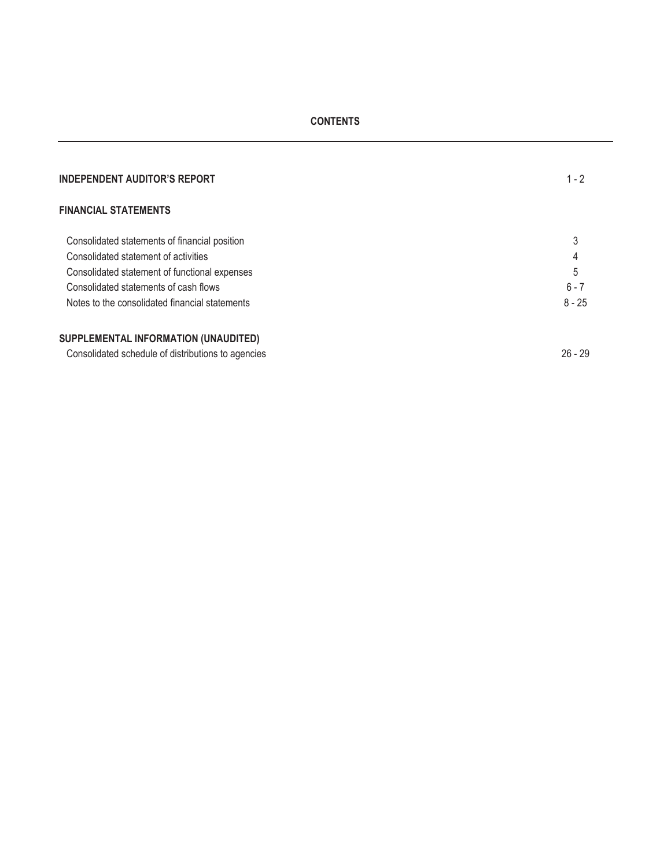## **CONTENTS**

| <b>INDEPENDENT AUDITOR'S REPORT</b>                | $1 - 2$   |
|----------------------------------------------------|-----------|
| <b>FINANCIAL STATEMENTS</b>                        |           |
| Consolidated statements of financial position      |           |
| Consolidated statement of activities               | 4         |
| Consolidated statement of functional expenses      | 5         |
| Consolidated statements of cash flows              | $6 - 7$   |
| Notes to the consolidated financial statements     | $8 - 25$  |
| SUPPLEMENTAL INFORMATION (UNAUDITED)               |           |
| Consolidated schedule of distributions to agencies | $26 - 29$ |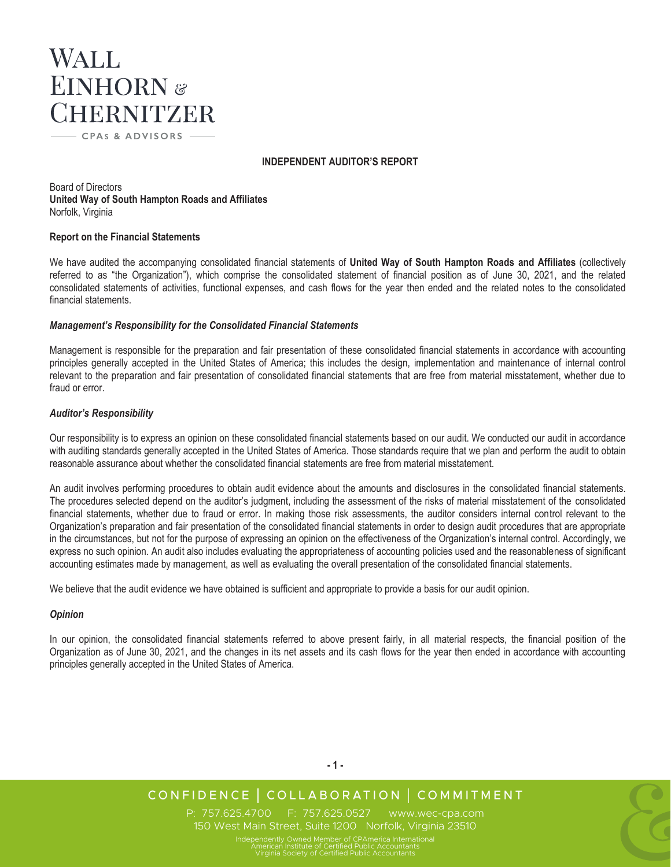# WALL EINHORN<sup>&</sup> CHERNITZER

 $-$  CPAs & ADVISORS  $-$ 

## **INDEPENDENT AUDITOR'S REPORT**

Board of Directors **United Way of South Hampton Roads and Affiliates** Norfolk, Virginia

#### **Report on the Financial Statements**

We have audited the accompanying consolidated financial statements of **United Way of South Hampton Roads and Affiliates** (collectively referred to as "the Organization"), which comprise the consolidated statement of financial position as of June 30, 2021, and the related consolidated statements of activities, functional expenses, and cash flows for the year then ended and the related notes to the consolidated financial statements.

#### *Management's Responsibility for the Consolidated Financial Statements*

Management is responsible for the preparation and fair presentation of these consolidated financial statements in accordance with accounting principles generally accepted in the United States of America; this includes the design, implementation and maintenance of internal control relevant to the preparation and fair presentation of consolidated financial statements that are free from material misstatement, whether due to fraud or error.

## *Auditor's Responsibility*

Our responsibility is to express an opinion on these consolidated financial statements based on our audit. We conducted our audit in accordance with auditing standards generally accepted in the United States of America. Those standards require that we plan and perform the audit to obtain reasonable assurance about whether the consolidated financial statements are free from material misstatement.

An audit involves performing procedures to obtain audit evidence about the amounts and disclosures in the consolidated financial statements. The procedures selected depend on the auditor's judgment, including the assessment of the risks of material misstatement of the consolidated financial statements, whether due to fraud or error. In making those risk assessments, the auditor considers internal control relevant to the Organization's preparation and fair presentation of the consolidated financial statements in order to design audit procedures that are appropriate in the circumstances, but not for the purpose of expressing an opinion on the effectiveness of the Organization's internal control. Accordingly, we express no such opinion. An audit also includes evaluating the appropriateness of accounting policies used and the reasonableness of significant accounting estimates made by management, as well as evaluating the overall presentation of the consolidated financial statements.

We believe that the audit evidence we have obtained is sufficient and appropriate to provide a basis for our audit opinion.

## *Opinion*

In our opinion, the consolidated financial statements referred to above present fairly, in all material respects, the financial position of the Organization as of June 30, 2021, and the changes in its net assets and its cash flows for the year then ended in accordance with accounting principles generally accepted in the United States of America.



CONFIDENCE | COLLABORATION | COMMITMENT

P: 757.625.4700 F: 757.625.0527 www.wec-cpa.com 150 West Main Street, Suite 1200 Norfolk, Virginia 23510

American Institute of Certified Public Accountants Independently Owned Member of CPAmerica International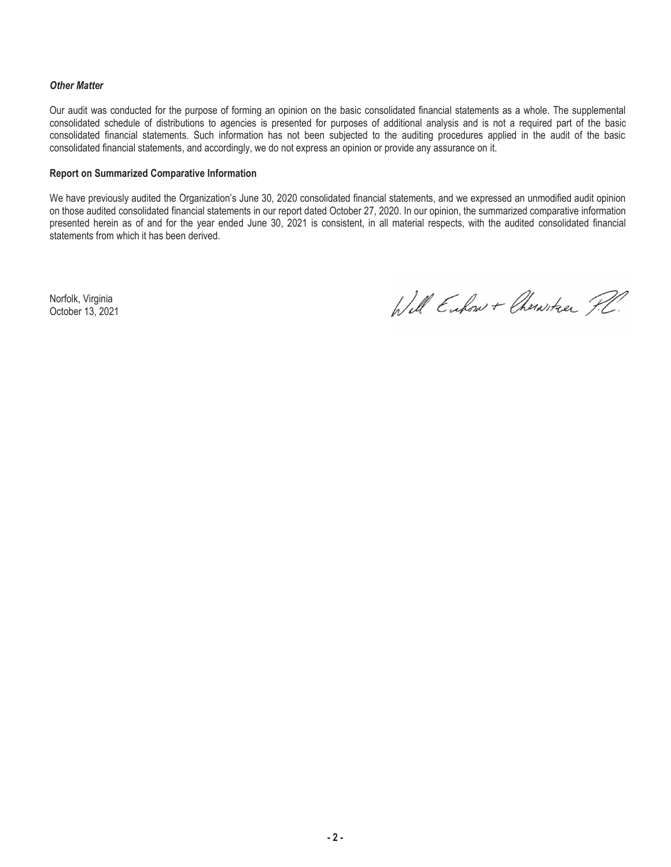#### *Other Matter*

Our audit was conducted for the purpose of forming an opinion on the basic consolidated financial statements as a whole. The supplemental consolidated schedule of distributions to agencies is presented for purposes of additional analysis and is not a required part of the basic consolidated financial statements. Such information has not been subjected to the auditing procedures applied in the audit of the basic consolidated financial statements, and accordingly, we do not express an opinion or provide any assurance on it.

#### **Report on Summarized Comparative Information**

We have previously audited the Organization's June 30, 2020 consolidated financial statements, and we expressed an unmodified audit opinion on those audited consolidated financial statements in our report dated October 27, 2020. In our opinion, the summarized comparative information presented herein as of and for the year ended June 30, 2021 is consistent, in all material respects, with the audited consolidated financial statements from which it has been derived.

Norfolk, Virginia October 13, 2021

Will Enfort Chemitre PC.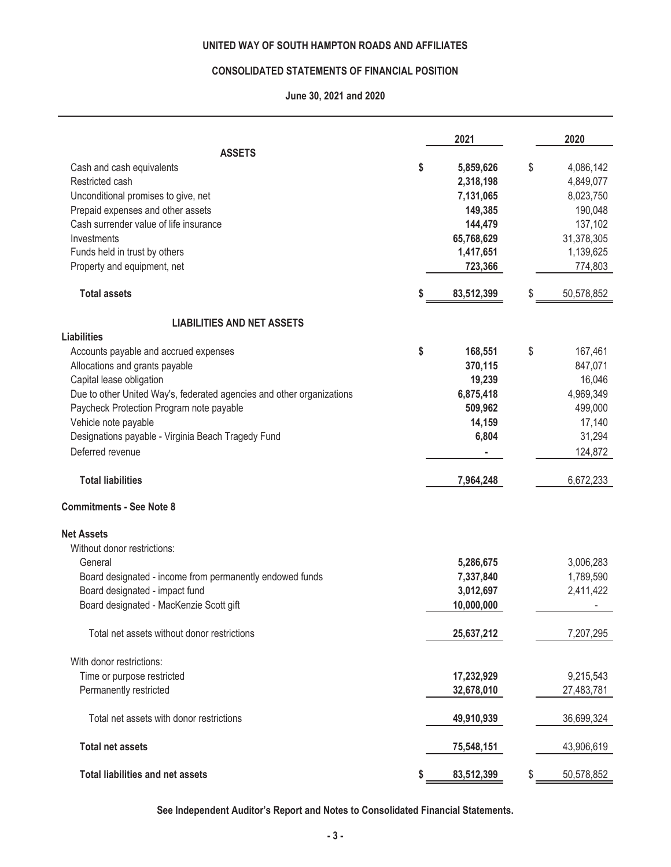## **CONSOLIDATED STATEMENTS OF FINANCIAL POSITION**

## **June 30, 2021 and 2020**

|                                                                       |    | 2021       | 2020             |
|-----------------------------------------------------------------------|----|------------|------------------|
| <b>ASSETS</b>                                                         |    |            |                  |
| Cash and cash equivalents                                             | S  | 5,859,626  | \$<br>4,086,142  |
| Restricted cash                                                       |    | 2,318,198  | 4,849,077        |
| Unconditional promises to give, net                                   |    | 7,131,065  | 8,023,750        |
| Prepaid expenses and other assets                                     |    | 149,385    | 190,048          |
| Cash surrender value of life insurance                                |    | 144,479    | 137,102          |
| Investments                                                           |    | 65,768,629 | 31,378,305       |
| Funds held in trust by others                                         |    | 1,417,651  | 1,139,625        |
| Property and equipment, net                                           |    | 723,366    | 774,803          |
| <b>Total assets</b>                                                   |    | 83,512,399 | \$<br>50,578,852 |
| <b>LIABILITIES AND NET ASSETS</b>                                     |    |            |                  |
| <b>Liabilities</b>                                                    |    |            |                  |
| Accounts payable and accrued expenses                                 | \$ | 168,551    | \$<br>167,461    |
| Allocations and grants payable                                        |    | 370,115    | 847,071          |
| Capital lease obligation                                              |    | 19,239     | 16,046           |
| Due to other United Way's, federated agencies and other organizations |    | 6,875,418  | 4,969,349        |
| Paycheck Protection Program note payable                              |    | 509,962    | 499,000          |
| Vehicle note payable                                                  |    | 14,159     | 17,140           |
| Designations payable - Virginia Beach Tragedy Fund                    |    | 6,804      | 31,294           |
| Deferred revenue                                                      |    |            | 124,872          |
| <b>Total liabilities</b>                                              |    | 7,964,248  | 6,672,233        |
| <b>Commitments - See Note 8</b>                                       |    |            |                  |
| <b>Net Assets</b>                                                     |    |            |                  |
| Without donor restrictions:                                           |    |            |                  |
| General                                                               |    | 5,286,675  | 3,006,283        |
| Board designated - income from permanently endowed funds              |    | 7,337,840  | 1,789,590        |
| Board designated - impact fund                                        |    | 3,012,697  | 2,411,422        |
| Board designated - MacKenzie Scott gift                               |    | 10,000,000 |                  |
| Total net assets without donor restrictions                           |    | 25,637,212 | 7,207,295        |
| With donor restrictions:                                              |    |            |                  |
| Time or purpose restricted                                            |    | 17,232,929 | 9,215,543        |
| Permanently restricted                                                |    | 32,678,010 | 27,483,781       |
| Total net assets with donor restrictions                              |    | 49,910,939 | 36,699,324       |
| <b>Total net assets</b>                                               |    | 75,548,151 | 43,906,619       |
| <b>Total liabilities and net assets</b>                               |    | 83,512,399 | \$<br>50,578,852 |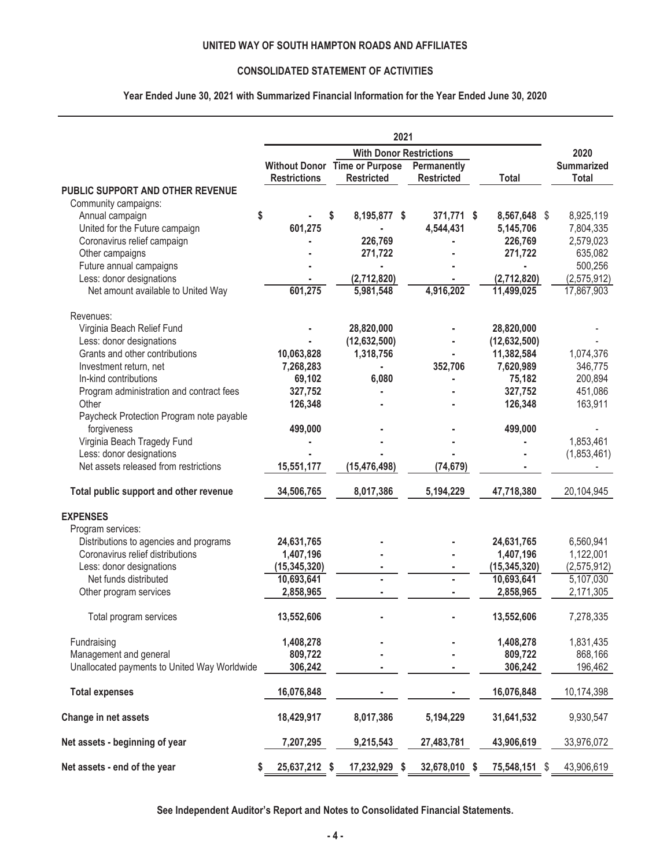## **CONSOLIDATED STATEMENT OF ACTIVITIES**

## **Year Ended June 30, 2021 with Summarized Financial Information for the Year Ended June 30, 2020**

|                                              |                                |                     |    |                                      | 2021 |                    |                |                   |
|----------------------------------------------|--------------------------------|---------------------|----|--------------------------------------|------|--------------------|----------------|-------------------|
|                                              | <b>With Donor Restrictions</b> |                     |    |                                      |      |                    | 2020           |                   |
|                                              |                                |                     |    | <b>Without Donor Time or Purpose</b> |      | <b>Permanently</b> |                | <b>Summarized</b> |
|                                              |                                | <b>Restrictions</b> |    | <b>Restricted</b>                    |      | <b>Restricted</b>  | <b>Total</b>   | Total             |
| <b>PUBLIC SUPPORT AND OTHER REVENUE</b>      |                                |                     |    |                                      |      |                    |                |                   |
| Community campaigns:                         |                                |                     |    |                                      |      |                    |                |                   |
| Annual campaign                              | \$                             |                     | \$ | 8,195,877 \$                         |      | 371,771 \$         | 8,567,648 \$   | 8,925,119         |
| United for the Future campaign               |                                | 601,275             |    |                                      |      | 4,544,431          | 5,145,706      | 7,804,335         |
| Coronavirus relief campaign                  |                                |                     |    | 226,769                              |      |                    | 226,769        | 2,579,023         |
| Other campaigns                              |                                |                     |    | 271,722                              |      |                    | 271,722        | 635,082           |
| Future annual campaigns                      |                                |                     |    |                                      |      |                    |                | 500,256           |
| Less: donor designations                     |                                |                     |    | (2,712,820)                          |      |                    | (2,712,820)    | (2,575,912)       |
| Net amount available to United Way           |                                | 601,275             |    | 5,981,548                            |      | 4,916,202          | 11,499,025     | 17,867,903        |
| Revenues:                                    |                                |                     |    |                                      |      |                    |                |                   |
| Virginia Beach Relief Fund                   |                                |                     |    | 28,820,000                           |      |                    | 28,820,000     |                   |
| Less: donor designations                     |                                |                     |    | (12, 632, 500)                       |      |                    | (12, 632, 500) |                   |
| Grants and other contributions               |                                | 10,063,828          |    | 1,318,756                            |      |                    | 11,382,584     | 1,074,376         |
| Investment return, net                       |                                | 7,268,283           |    |                                      |      | 352,706            | 7,620,989      | 346,775           |
| In-kind contributions                        |                                | 69,102              |    | 6,080                                |      |                    | 75,182         | 200,894           |
| Program administration and contract fees     |                                | 327,752             |    |                                      |      |                    | 327,752        | 451,086           |
| Other                                        |                                | 126,348             |    |                                      |      |                    | 126,348        | 163,911           |
| Paycheck Protection Program note payable     |                                |                     |    |                                      |      |                    |                |                   |
| forgiveness                                  |                                | 499,000             |    |                                      |      |                    | 499,000        |                   |
| Virginia Beach Tragedy Fund                  |                                |                     |    |                                      |      |                    |                | 1,853,461         |
| Less: donor designations                     |                                |                     |    |                                      |      |                    |                | (1,853,461)       |
| Net assets released from restrictions        |                                | 15,551,177          |    | (15, 476, 498)                       |      | (74, 679)          |                |                   |
| Total public support and other revenue       |                                | 34,506,765          |    | 8,017,386                            |      | 5,194,229          | 47,718,380     | 20,104,945        |
| <b>EXPENSES</b>                              |                                |                     |    |                                      |      |                    |                |                   |
| Program services:                            |                                |                     |    |                                      |      |                    |                |                   |
| Distributions to agencies and programs       |                                | 24,631,765          |    |                                      |      |                    | 24,631,765     | 6,560,941         |
| Coronavirus relief distributions             |                                | 1,407,196           |    |                                      |      |                    | 1,407,196      | 1,122,001         |
| Less: donor designations                     |                                | (15, 345, 320)      |    |                                      |      |                    | (15, 345, 320) | (2,575,912)       |
| Net funds distributed                        |                                | 10,693,641          |    |                                      |      |                    | 10,693,641     | 5,107,030         |
| Other program services                       |                                | 2,858,965           |    |                                      |      |                    | 2,858,965      | 2,171,305         |
| Total program services                       |                                | 13,552,606          |    |                                      |      |                    | 13,552,606     | 7,278,335         |
| Fundraising                                  |                                | 1,408,278           |    |                                      |      |                    | 1,408,278      | 1,831,435         |
| Management and general                       |                                | 809,722             |    |                                      |      |                    | 809,722        | 868,166           |
| Unallocated payments to United Way Worldwide |                                | 306,242             |    |                                      |      |                    | 306,242        | 196,462           |
| <b>Total expenses</b>                        |                                | 16,076,848          |    |                                      |      |                    | 16,076,848     | 10,174,398        |
| Change in net assets                         |                                | 18,429,917          |    | 8,017,386                            |      | 5,194,229          | 31,641,532     | 9,930,547         |
| Net assets - beginning of year               |                                | 7,207,295           |    | 9,215,543                            |      | 27,483,781         | 43,906,619     | 33,976,072        |
| Net assets - end of the year                 |                                | 25,637,212 \$       |    | 17,232,929 \$                        |      | 32,678,010 \$      | 75,548,151 \$  | 43,906,619        |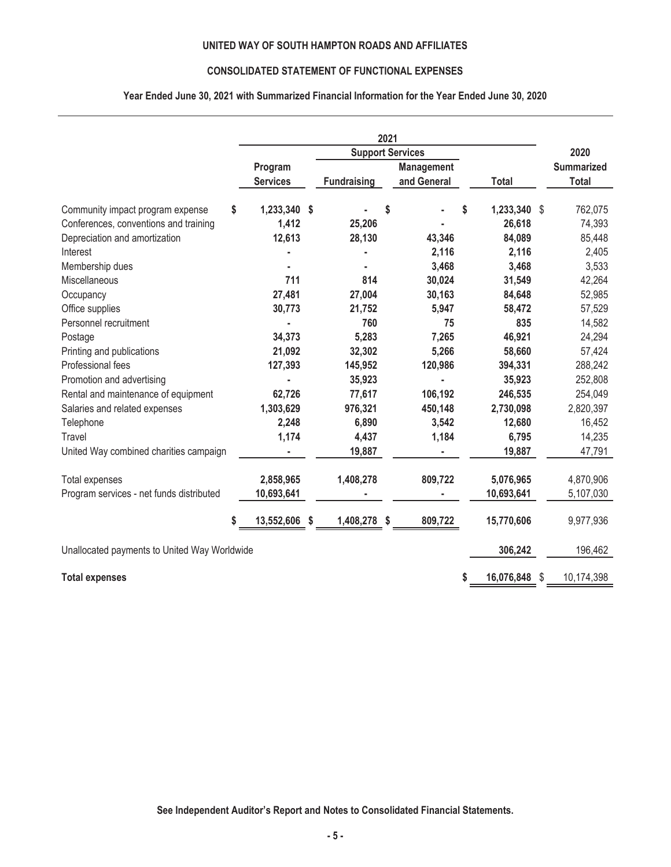## **CONSOLIDATED STATEMENT OF FUNCTIONAL EXPENSES**

## **Year Ended June 30, 2021 with Summarized Financial Information for the Year Ended June 30, 2020**

|                                              |                 |                    | 2021                                         |                     |                   |
|----------------------------------------------|-----------------|--------------------|----------------------------------------------|---------------------|-------------------|
|                                              |                 | 2020               |                                              |                     |                   |
|                                              | Program         |                    | <b>Support Services</b><br><b>Management</b> |                     | <b>Summarized</b> |
|                                              | <b>Services</b> | <b>Fundraising</b> | and General                                  | <b>Total</b>        | <b>Total</b>      |
| Community impact program expense<br>\$       | 1,233,340 \$    |                    | \$                                           | 1,233,340<br>\$     | 762,075<br>\$     |
| Conferences, conventions and training        | 1,412           | 25,206             |                                              | 26,618              | 74,393            |
| Depreciation and amortization                | 12,613          | 28,130             | 43,346                                       | 84,089              | 85,448            |
| Interest                                     |                 |                    | 2,116                                        | 2,116               | 2,405             |
|                                              |                 |                    | 3,468                                        | 3,468               | 3,533             |
| Membership dues                              | 711             |                    |                                              |                     | 42,264            |
| Miscellaneous                                |                 | 814                | 30,024                                       | 31,549              |                   |
| Occupancy                                    | 27,481          | 27,004             | 30,163                                       | 84,648              | 52,985            |
| Office supplies                              | 30,773          | 21,752             | 5,947                                        | 58,472              | 57,529            |
| Personnel recruitment                        |                 | 760                | 75                                           | 835                 | 14,582            |
| Postage                                      | 34,373          | 5,283              | 7,265                                        | 46,921              | 24,294            |
| Printing and publications                    | 21,092          | 32,302             | 5,266                                        | 58,660              | 57,424            |
| Professional fees                            | 127,393         | 145,952            | 120,986                                      | 394,331             | 288,242           |
| Promotion and advertising                    |                 | 35,923             |                                              | 35,923              | 252,808           |
| Rental and maintenance of equipment          | 62,726          | 77,617             | 106,192                                      | 246,535             | 254,049           |
| Salaries and related expenses                | 1,303,629       | 976,321            | 450,148                                      | 2,730,098           | 2,820,397         |
| Telephone                                    | 2,248           | 6,890              | 3,542                                        | 12,680              | 16,452            |
| Travel                                       | 1,174           | 4,437              | 1,184                                        | 6,795               | 14,235            |
| United Way combined charities campaign       |                 | 19,887             |                                              | 19,887              | 47,791            |
| Total expenses                               | 2,858,965       | 1,408,278          | 809,722                                      | 5,076,965           | 4,870,906         |
| Program services - net funds distributed     | 10,693,641      |                    |                                              | 10,693,641          | 5,107,030         |
|                                              |                 |                    |                                              |                     |                   |
| \$                                           | 13,552,606 \$   | 1,408,278          | 809,722<br>S                                 | 15,770,606          | 9,977,936         |
| Unallocated payments to United Way Worldwide |                 |                    |                                              | 306,242             | 196,462           |
| <b>Total expenses</b>                        |                 |                    |                                              | 16,076,848 \$<br>\$ | 10,174,398        |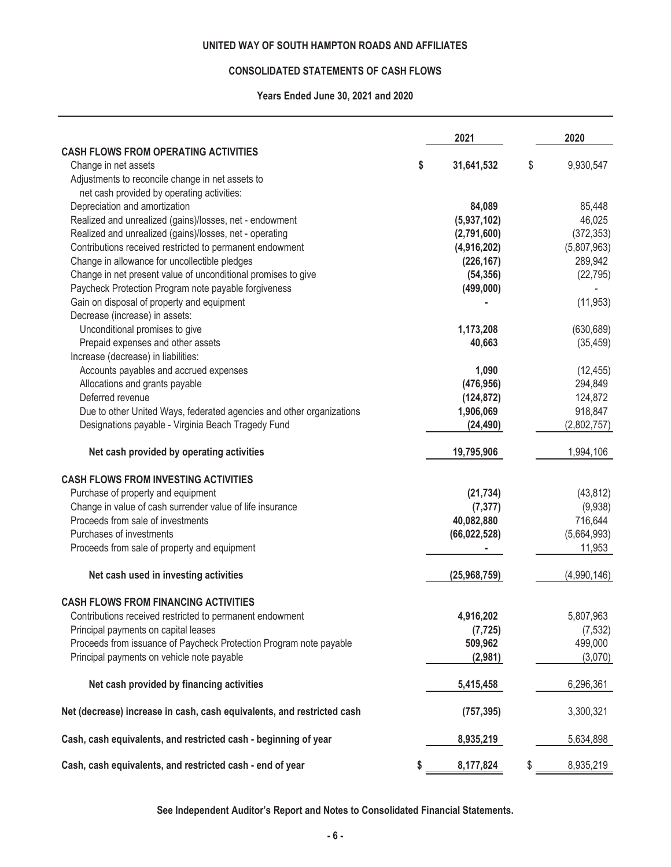## **CONSOLIDATED STATEMENTS OF CASH FLOWS**

## **Years Ended June 30, 2021 and 2020**

|                                                                        | 2021             | 2020            |
|------------------------------------------------------------------------|------------------|-----------------|
| <b>CASH FLOWS FROM OPERATING ACTIVITIES</b>                            |                  |                 |
| Change in net assets                                                   | \$<br>31,641,532 | \$<br>9,930,547 |
| Adjustments to reconcile change in net assets to                       |                  |                 |
| net cash provided by operating activities:                             |                  |                 |
| Depreciation and amortization                                          | 84,089           | 85,448          |
| Realized and unrealized (gains)/losses, net - endowment                | (5,937,102)      | 46,025          |
| Realized and unrealized (gains)/losses, net - operating                | (2,791,600)      | (372, 353)      |
| Contributions received restricted to permanent endowment               | (4,916,202)      | (5,807,963)     |
| Change in allowance for uncollectible pledges                          | (226, 167)       | 289,942         |
| Change in net present value of unconditional promises to give          | (54, 356)        | (22, 795)       |
| Paycheck Protection Program note payable forgiveness                   | (499,000)        |                 |
| Gain on disposal of property and equipment                             |                  | (11, 953)       |
| Decrease (increase) in assets:                                         |                  |                 |
| Unconditional promises to give                                         | 1,173,208        | (630, 689)      |
| Prepaid expenses and other assets                                      | 40,663           | (35, 459)       |
| Increase (decrease) in liabilities:                                    |                  |                 |
| Accounts payables and accrued expenses                                 | 1,090            | (12, 455)       |
| Allocations and grants payable                                         | (476, 956)       | 294,849         |
| Deferred revenue                                                       | (124, 872)       | 124,872         |
| Due to other United Ways, federated agencies and other organizations   | 1,906,069        | 918,847         |
| Designations payable - Virginia Beach Tragedy Fund                     | (24, 490)        | (2,802,757)     |
| Net cash provided by operating activities                              | 19,795,906       | 1,994,106       |
| <b>CASH FLOWS FROM INVESTING ACTIVITIES</b>                            |                  |                 |
| Purchase of property and equipment                                     | (21, 734)        | (43, 812)       |
| Change in value of cash surrender value of life insurance              | (7, 377)         | (9,938)         |
| Proceeds from sale of investments                                      | 40,082,880       | 716,644         |
| Purchases of investments                                               | (66, 022, 528)   | (5,664,993)     |
| Proceeds from sale of property and equipment                           |                  | 11,953          |
| Net cash used in investing activities                                  | (25,968,759)     | (4,990,146)     |
| <b>CASH FLOWS FROM FINANCING ACTIVITIES</b>                            |                  |                 |
| Contributions received restricted to permanent endowment               | 4,916,202        | 5,807,963       |
| Principal payments on capital leases                                   | (7, 725)         | (7, 532)        |
| Proceeds from issuance of Paycheck Protection Program note payable     | 509,962          | 499,000         |
| Principal payments on vehicle note payable                             | (2,981)          | (3,070)         |
| Net cash provided by financing activities                              | 5,415,458        | 6,296,361       |
| Net (decrease) increase in cash, cash equivalents, and restricted cash | (757, 395)       | 3,300,321       |
| Cash, cash equivalents, and restricted cash - beginning of year        | 8,935,219        | 5,634,898       |
| Cash, cash equivalents, and restricted cash - end of year              | \$<br>8,177,824  | \$<br>8,935,219 |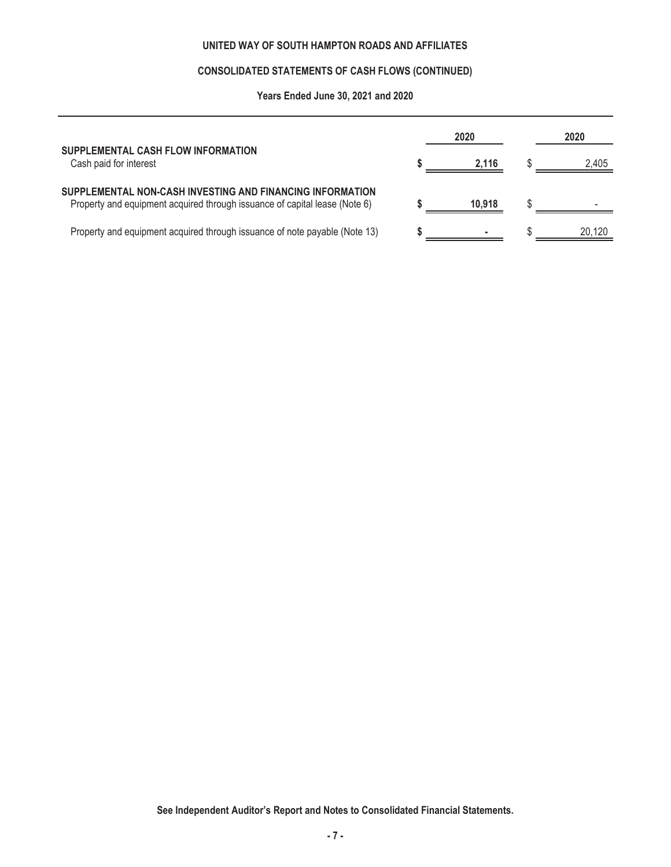## **CONSOLIDATED STATEMENTS OF CASH FLOWS (CONTINUED)**

## **Years Ended June 30, 2021 and 2020**

|                                                                                                                                         | 2020   | 2020   |
|-----------------------------------------------------------------------------------------------------------------------------------------|--------|--------|
| SUPPLEMENTAL CASH FLOW INFORMATION<br>Cash paid for interest                                                                            | 2,116  | 2,405  |
| SUPPLEMENTAL NON-CASH INVESTING AND FINANCING INFORMATION<br>Property and equipment acquired through issuance of capital lease (Note 6) | 10.918 |        |
| Property and equipment acquired through issuance of note payable (Note 13)                                                              | ۰      | 20.120 |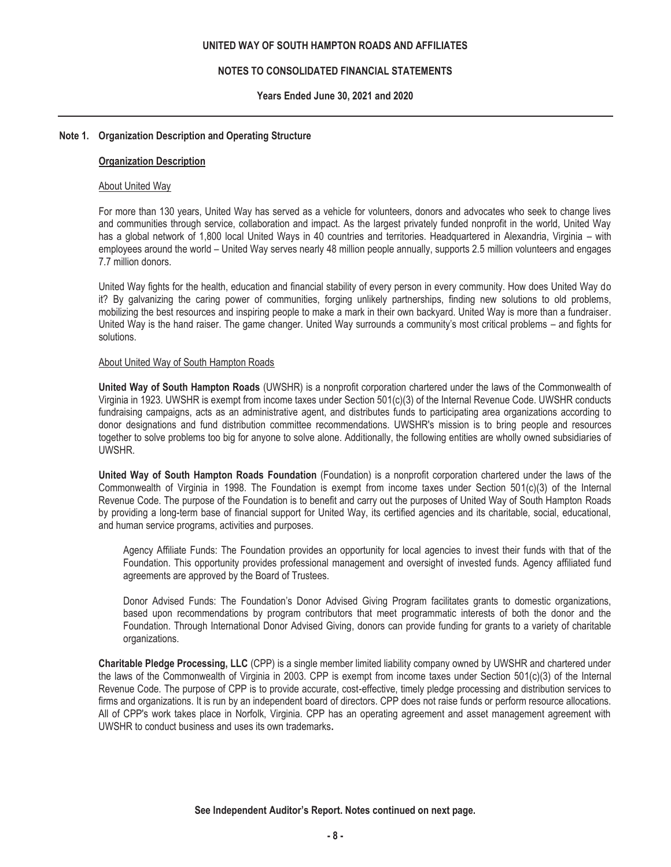## **NOTES TO CONSOLIDATED FINANCIAL STATEMENTS**

**Years Ended June 30, 2021 and 2020** 

#### **Note 1. Organization Description and Operating Structure**

#### **Organization Description**

#### About United Way

For more than 130 years, United Way has served as a vehicle for volunteers, donors and advocates who seek to change lives and communities through service, collaboration and impact. As the largest privately funded nonprofit in the world, United Way has a global network of 1,800 local United Ways in 40 countries and territories. Headquartered in Alexandria, Virginia – with employees around the world – United Way serves nearly 48 million people annually, supports 2.5 million volunteers and engages 7.7 million donors.

United Way fights for the health, education and financial stability of every person in every community. How does United Way do it? By galvanizing the caring power of communities, forging unlikely partnerships, finding new solutions to old problems, mobilizing the best resources and inspiring people to make a mark in their own backyard. United Way is more than a fundraiser. United Way is the hand raiser. The game changer. United Way surrounds a community's most critical problems – and fights for solutions.

#### About United Way of South Hampton Roads

**United Way of South Hampton Roads** (UWSHR) is a nonprofit corporation chartered under the laws of the Commonwealth of Virginia in 1923. UWSHR is exempt from income taxes under Section 501(c)(3) of the Internal Revenue Code. UWSHR conducts fundraising campaigns, acts as an administrative agent, and distributes funds to participating area organizations according to donor designations and fund distribution committee recommendations. UWSHR's mission is to bring people and resources together to solve problems too big for anyone to solve alone. Additionally, the following entities are wholly owned subsidiaries of UWSHR.

**United Way of South Hampton Roads Foundation** (Foundation) is a nonprofit corporation chartered under the laws of the Commonwealth of Virginia in 1998. The Foundation is exempt from income taxes under Section 501(c)(3) of the Internal Revenue Code. The purpose of the Foundation is to benefit and carry out the purposes of United Way of South Hampton Roads by providing a long-term base of financial support for United Way, its certified agencies and its charitable, social, educational, and human service programs, activities and purposes.

Agency Affiliate Funds: The Foundation provides an opportunity for local agencies to invest their funds with that of the Foundation. This opportunity provides professional management and oversight of invested funds. Agency affiliated fund agreements are approved by the Board of Trustees.

Donor Advised Funds: The Foundation's Donor Advised Giving Program facilitates grants to domestic organizations, based upon recommendations by program contributors that meet programmatic interests of both the donor and the Foundation. Through International Donor Advised Giving, donors can provide funding for grants to a variety of charitable organizations.

**Charitable Pledge Processing, LLC** (CPP) is a single member limited liability company owned by UWSHR and chartered under the laws of the Commonwealth of Virginia in 2003. CPP is exempt from income taxes under Section 501(c)(3) of the Internal Revenue Code. The purpose of CPP is to provide accurate, cost-effective, timely pledge processing and distribution services to firms and organizations. It is run by an independent board of directors. CPP does not raise funds or perform resource allocations. All of CPP's work takes place in Norfolk, Virginia. CPP has an operating agreement and asset management agreement with UWSHR to conduct business and uses its own trademarks**.**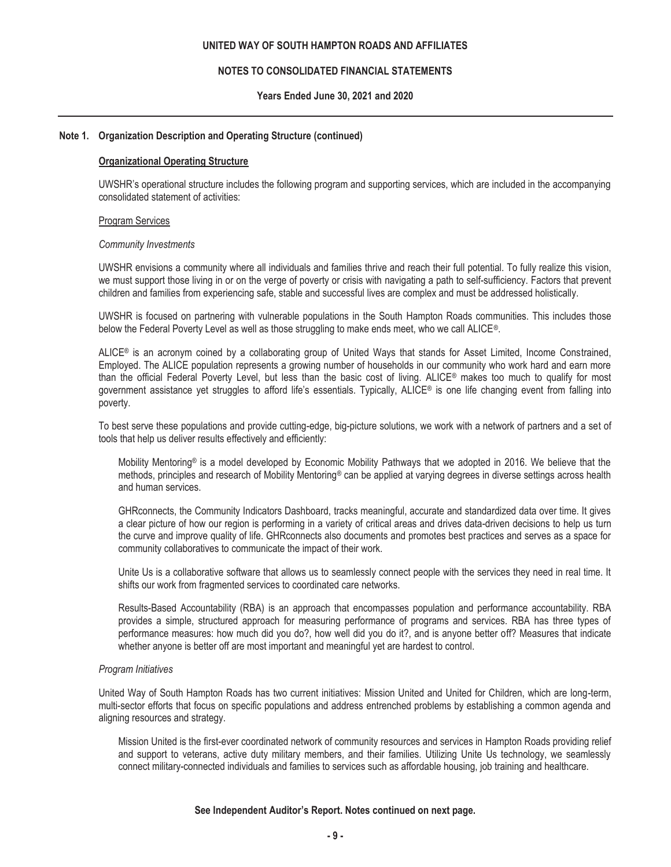#### **NOTES TO CONSOLIDATED FINANCIAL STATEMENTS**

**Years Ended June 30, 2021 and 2020** 

#### **Note 1. Organization Description and Operating Structure (continued)**

#### **Organizational Operating Structure**

UWSHR's operational structure includes the following program and supporting services, which are included in the accompanying consolidated statement of activities:

#### Program Services

#### *Community Investments*

UWSHR envisions a community where all individuals and families thrive and reach their full potential. To fully realize this vision, we must support those living in or on the verge of poverty or crisis with navigating a path to self-sufficiency. Factors that prevent children and families from experiencing safe, stable and successful lives are complex and must be addressed holistically.

UWSHR is focused on partnering with vulnerable populations in the South Hampton Roads communities. This includes those below the Federal Poverty Level as well as those struggling to make ends meet, who we call ALICE®.

ALICE® is an acronym coined by a collaborating group of United Ways that stands for Asset Limited, Income Constrained, Employed. The ALICE population represents a growing number of households in our community who work hard and earn more than the official Federal Poverty Level, but less than the basic cost of living. ALICE® makes too much to qualify for most government assistance yet struggles to afford life's essentials. Typically, ALICE® is one life changing event from falling into poverty.

To best serve these populations and provide cutting-edge, big-picture solutions, we work with a network of partners and a set of tools that help us deliver results effectively and efficiently:

Mobility Mentoring® is a model developed by Economic Mobility Pathways that we adopted in 2016. We believe that the methods, principles and research of Mobility Mentoring® can be applied at varying degrees in diverse settings across health and human services.

GHRconnects, the Community Indicators Dashboard, tracks meaningful, accurate and standardized data over time. It gives a clear picture of how our region is performing in a variety of critical areas and drives data-driven decisions to help us turn the curve and improve quality of life. GHRconnects also documents and promotes best practices and serves as a space for community collaboratives to communicate the impact of their work.

Unite Us is a collaborative software that allows us to seamlessly connect people with the services they need in real time. It shifts our work from fragmented services to coordinated care networks.

Results-Based Accountability (RBA) is an approach that encompasses population and performance accountability. RBA provides a simple, structured approach for measuring performance of programs and services. RBA has three types of performance measures: how much did you do?, how well did you do it?, and is anyone better off? Measures that indicate whether anyone is better off are most important and meaningful yet are hardest to control.

## *Program Initiatives*

United Way of South Hampton Roads has two current initiatives: Mission United and United for Children, which are long-term, multi-sector efforts that focus on specific populations and address entrenched problems by establishing a common agenda and aligning resources and strategy.

Mission United is the first-ever coordinated network of community resources and services in Hampton Roads providing relief and support to veterans, active duty military members, and their families. Utilizing Unite Us technology, we seamlessly connect military-connected individuals and families to services such as affordable housing, job training and healthcare.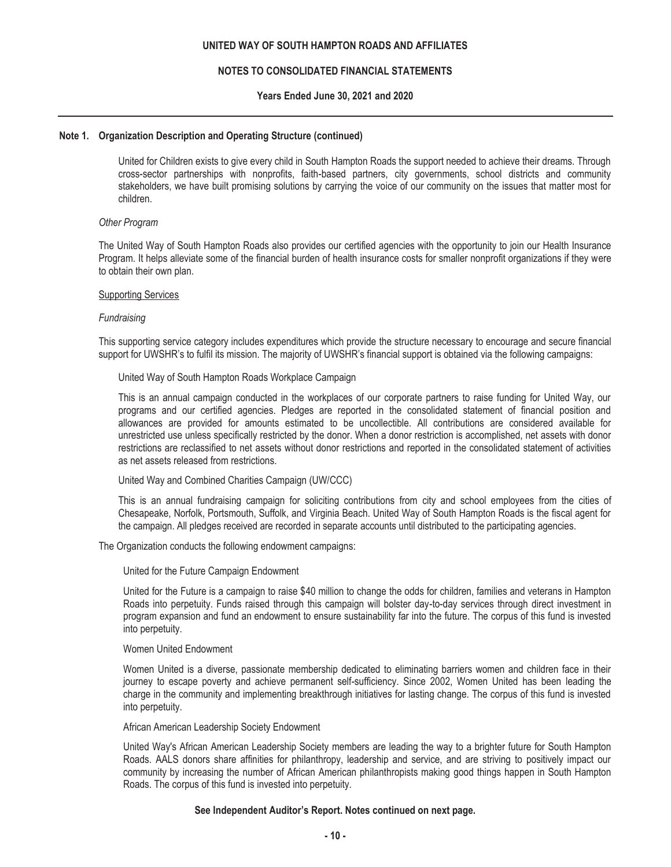#### **NOTES TO CONSOLIDATED FINANCIAL STATEMENTS**

#### **Years Ended June 30, 2021 and 2020**

#### **Note 1. Organization Description and Operating Structure (continued)**

United for Children exists to give every child in South Hampton Roads the support needed to achieve their dreams. Through cross-sector partnerships with nonprofits, faith-based partners, city governments, school districts and community stakeholders, we have built promising solutions by carrying the voice of our community on the issues that matter most for children.

#### *Other Program*

The United Way of South Hampton Roads also provides our certified agencies with the opportunity to join our Health Insurance Program. It helps alleviate some of the financial burden of health insurance costs for smaller nonprofit organizations if they were to obtain their own plan.

#### Supporting Services

#### *Fundraising*

This supporting service category includes expenditures which provide the structure necessary to encourage and secure financial support for UWSHR's to fulfil its mission. The majority of UWSHR's financial support is obtained via the following campaigns:

United Way of South Hampton Roads Workplace Campaign

This is an annual campaign conducted in the workplaces of our corporate partners to raise funding for United Way, our programs and our certified agencies. Pledges are reported in the consolidated statement of financial position and allowances are provided for amounts estimated to be uncollectible. All contributions are considered available for unrestricted use unless specifically restricted by the donor. When a donor restriction is accomplished, net assets with donor restrictions are reclassified to net assets without donor restrictions and reported in the consolidated statement of activities as net assets released from restrictions.

#### United Way and Combined Charities Campaign (UW/CCC)

This is an annual fundraising campaign for soliciting contributions from city and school employees from the cities of Chesapeake, Norfolk, Portsmouth, Suffolk, and Virginia Beach. United Way of South Hampton Roads is the fiscal agent for the campaign. All pledges received are recorded in separate accounts until distributed to the participating agencies.

The Organization conducts the following endowment campaigns:

United for the Future Campaign Endowment

United for the Future is a campaign to raise \$40 million to change the odds for children, families and veterans in Hampton Roads into perpetuity. Funds raised through this campaign will bolster day-to-day services through direct investment in program expansion and fund an endowment to ensure sustainability far into the future. The corpus of this fund is invested into perpetuity.

## Women United Endowment

Women United is a diverse, passionate membership dedicated to eliminating barriers women and children face in their journey to escape poverty and achieve permanent self-sufficiency. Since 2002, Women United has been leading the charge in the community and implementing breakthrough initiatives for lasting change. The corpus of this fund is invested into perpetuity.

#### African American Leadership Society Endowment

United Way's African American Leadership Society members are leading the way to a brighter future for South Hampton Roads. AALS donors share affinities for philanthropy, leadership and service, and are striving to positively impact our community by increasing the number of African American philanthropists making good things happen in South Hampton Roads. The corpus of this fund is invested into perpetuity.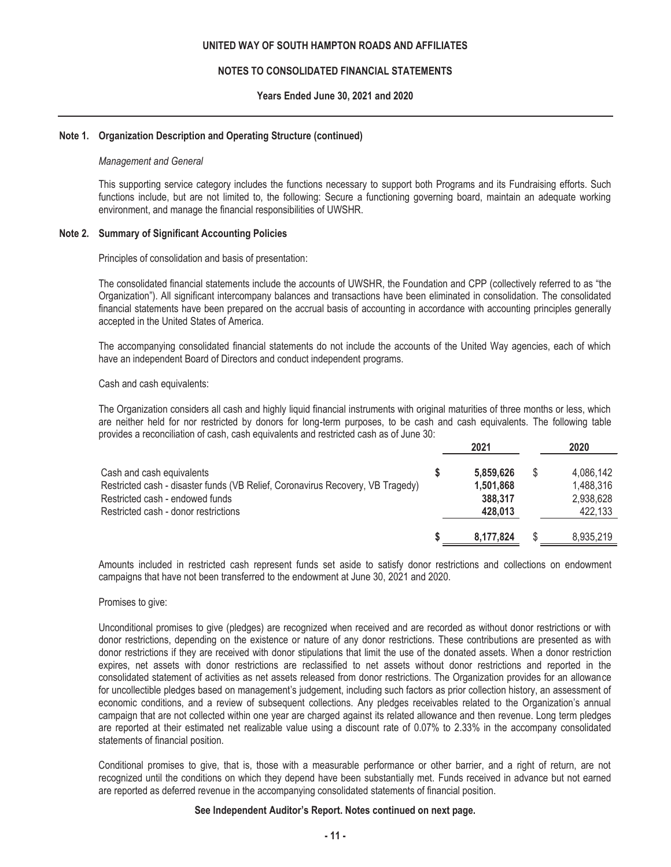#### **NOTES TO CONSOLIDATED FINANCIAL STATEMENTS**

**Years Ended June 30, 2021 and 2020** 

#### **Note 1. Organization Description and Operating Structure (continued)**

#### *Management and General*

This supporting service category includes the functions necessary to support both Programs and its Fundraising efforts. Such functions include, but are not limited to, the following: Secure a functioning governing board, maintain an adequate working environment, and manage the financial responsibilities of UWSHR.

#### **Note 2. Summary of Significant Accounting Policies**

Principles of consolidation and basis of presentation:

The consolidated financial statements include the accounts of UWSHR, the Foundation and CPP (collectively referred to as "the Organization"). All significant intercompany balances and transactions have been eliminated in consolidation. The consolidated financial statements have been prepared on the accrual basis of accounting in accordance with accounting principles generally accepted in the United States of America.

The accompanying consolidated financial statements do not include the accounts of the United Way agencies, each of which have an independent Board of Directors and conduct independent programs.

Cash and cash equivalents:

The Organization considers all cash and highly liquid financial instruments with original maturities of three months or less, which are neither held for nor restricted by donors for long-term purposes, to be cash and cash equivalents. The following table provides a reconciliation of cash, cash equivalents and restricted cash as of June 30:

|                                                                                                                                                | 2021                              | 2020                                |
|------------------------------------------------------------------------------------------------------------------------------------------------|-----------------------------------|-------------------------------------|
| Cash and cash equivalents<br>Restricted cash - disaster funds (VB Relief, Coronavirus Recovery, VB Tragedy)<br>Restricted cash - endowed funds | 5,859,626<br>1,501,868<br>388,317 | 4,086,142<br>1,488,316<br>2,938,628 |
| Restricted cash - donor restrictions                                                                                                           | 428.013                           | 422,133                             |
|                                                                                                                                                | 8,177,824                         | 8,935,219                           |

Amounts included in restricted cash represent funds set aside to satisfy donor restrictions and collections on endowment campaigns that have not been transferred to the endowment at June 30, 2021 and 2020.

#### Promises to give:

Unconditional promises to give (pledges) are recognized when received and are recorded as without donor restrictions or with donor restrictions, depending on the existence or nature of any donor restrictions. These contributions are presented as with donor restrictions if they are received with donor stipulations that limit the use of the donated assets. When a donor restriction expires, net assets with donor restrictions are reclassified to net assets without donor restrictions and reported in the consolidated statement of activities as net assets released from donor restrictions. The Organization provides for an allowance for uncollectible pledges based on management's judgement, including such factors as prior collection history, an assessment of economic conditions, and a review of subsequent collections. Any pledges receivables related to the Organization's annual campaign that are not collected within one year are charged against its related allowance and then revenue. Long term pledges are reported at their estimated net realizable value using a discount rate of 0.07% to 2.33% in the accompany consolidated statements of financial position.

Conditional promises to give, that is, those with a measurable performance or other barrier, and a right of return, are not recognized until the conditions on which they depend have been substantially met. Funds received in advance but not earned are reported as deferred revenue in the accompanying consolidated statements of financial position.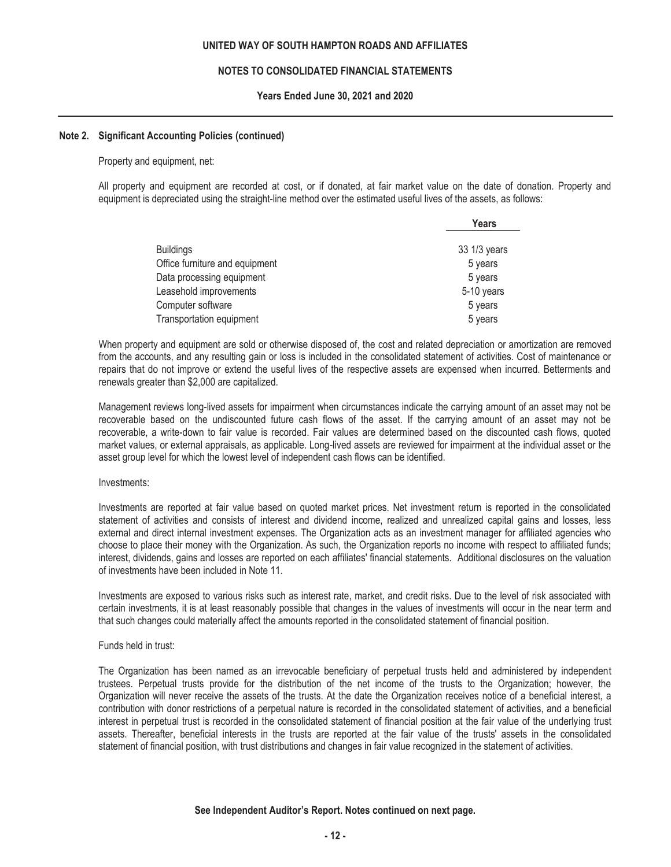#### **NOTES TO CONSOLIDATED FINANCIAL STATEMENTS**

**Years Ended June 30, 2021 and 2020** 

#### **Note 2. Significant Accounting Policies (continued)**

Property and equipment, net:

All property and equipment are recorded at cost, or if donated, at fair market value on the date of donation. Property and equipment is depreciated using the straight-line method over the estimated useful lives of the assets, as follows:

|                                | Years        |
|--------------------------------|--------------|
| <b>Buildings</b>               | 33 1/3 years |
| Office furniture and equipment | 5 years      |
| Data processing equipment      | 5 years      |
| Leasehold improvements         | 5-10 years   |
| Computer software              | 5 years      |
| Transportation equipment       | 5 years      |

When property and equipment are sold or otherwise disposed of, the cost and related depreciation or amortization are removed from the accounts, and any resulting gain or loss is included in the consolidated statement of activities. Cost of maintenance or repairs that do not improve or extend the useful lives of the respective assets are expensed when incurred. Betterments and renewals greater than \$2,000 are capitalized.

Management reviews long-lived assets for impairment when circumstances indicate the carrying amount of an asset may not be recoverable based on the undiscounted future cash flows of the asset. If the carrying amount of an asset may not be recoverable, a write-down to fair value is recorded. Fair values are determined based on the discounted cash flows, quoted market values, or external appraisals, as applicable. Long-lived assets are reviewed for impairment at the individual asset or the asset group level for which the lowest level of independent cash flows can be identified.

#### Investments:

Investments are reported at fair value based on quoted market prices. Net investment return is reported in the consolidated statement of activities and consists of interest and dividend income, realized and unrealized capital gains and losses, less external and direct internal investment expenses. The Organization acts as an investment manager for affiliated agencies who choose to place their money with the Organization. As such, the Organization reports no income with respect to affiliated funds; interest, dividends, gains and losses are reported on each affiliates' financial statements. Additional disclosures on the valuation of investments have been included in Note 11.

Investments are exposed to various risks such as interest rate, market, and credit risks. Due to the level of risk associated with certain investments, it is at least reasonably possible that changes in the values of investments will occur in the near term and that such changes could materially affect the amounts reported in the consolidated statement of financial position.

#### Funds held in trust:

The Organization has been named as an irrevocable beneficiary of perpetual trusts held and administered by independent trustees. Perpetual trusts provide for the distribution of the net income of the trusts to the Organization; however, the Organization will never receive the assets of the trusts. At the date the Organization receives notice of a beneficial interest, a contribution with donor restrictions of a perpetual nature is recorded in the consolidated statement of activities, and a beneficial interest in perpetual trust is recorded in the consolidated statement of financial position at the fair value of the underlying trust assets. Thereafter, beneficial interests in the trusts are reported at the fair value of the trusts' assets in the consolidated statement of financial position, with trust distributions and changes in fair value recognized in the statement of activities.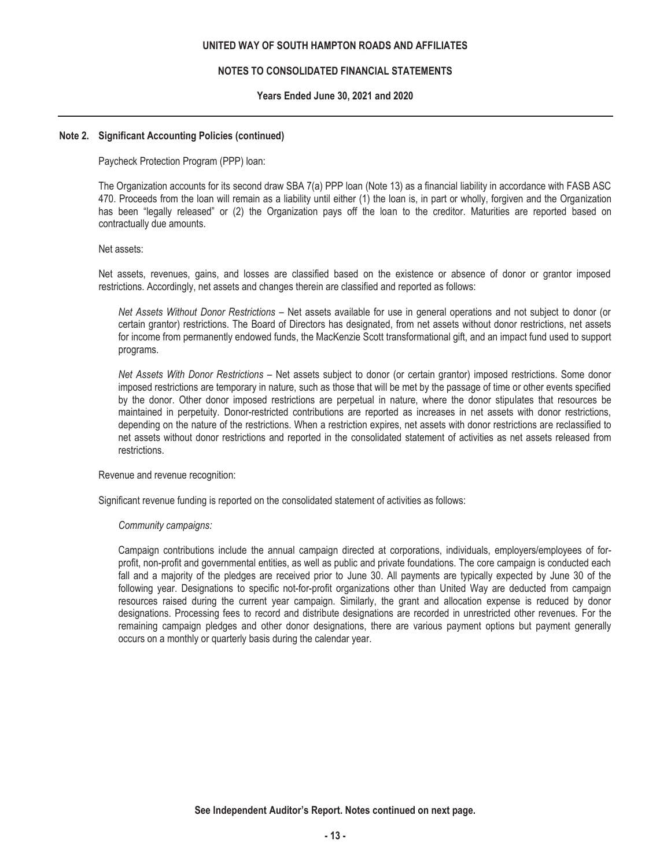#### **NOTES TO CONSOLIDATED FINANCIAL STATEMENTS**

**Years Ended June 30, 2021 and 2020** 

#### **Note 2. Significant Accounting Policies (continued)**

Paycheck Protection Program (PPP) loan:

The Organization accounts for its second draw SBA 7(a) PPP loan (Note 13) as a financial liability in accordance with FASB ASC 470. Proceeds from the loan will remain as a liability until either (1) the loan is, in part or wholly, forgiven and the Organization has been "legally released" or (2) the Organization pays off the loan to the creditor. Maturities are reported based on contractually due amounts.

#### Net assets:

Net assets, revenues, gains, and losses are classified based on the existence or absence of donor or grantor imposed restrictions. Accordingly, net assets and changes therein are classified and reported as follows:

*Net Assets Without Donor Restrictions* – Net assets available for use in general operations and not subject to donor (or certain grantor) restrictions. The Board of Directors has designated, from net assets without donor restrictions, net assets for income from permanently endowed funds, the MacKenzie Scott transformational gift, and an impact fund used to support programs.

*Net Assets With Donor Restrictions* – Net assets subject to donor (or certain grantor) imposed restrictions. Some donor imposed restrictions are temporary in nature, such as those that will be met by the passage of time or other events specified by the donor. Other donor imposed restrictions are perpetual in nature, where the donor stipulates that resources be maintained in perpetuity. Donor-restricted contributions are reported as increases in net assets with donor restrictions, depending on the nature of the restrictions. When a restriction expires, net assets with donor restrictions are reclassified to net assets without donor restrictions and reported in the consolidated statement of activities as net assets released from restrictions.

Revenue and revenue recognition:

Significant revenue funding is reported on the consolidated statement of activities as follows:

#### *Community campaigns:*

Campaign contributions include the annual campaign directed at corporations, individuals, employers/employees of forprofit, non-profit and governmental entities, as well as public and private foundations. The core campaign is conducted each fall and a majority of the pledges are received prior to June 30. All payments are typically expected by June 30 of the following year. Designations to specific not-for-profit organizations other than United Way are deducted from campaign resources raised during the current year campaign. Similarly, the grant and allocation expense is reduced by donor designations. Processing fees to record and distribute designations are recorded in unrestricted other revenues. For the remaining campaign pledges and other donor designations, there are various payment options but payment generally occurs on a monthly or quarterly basis during the calendar year.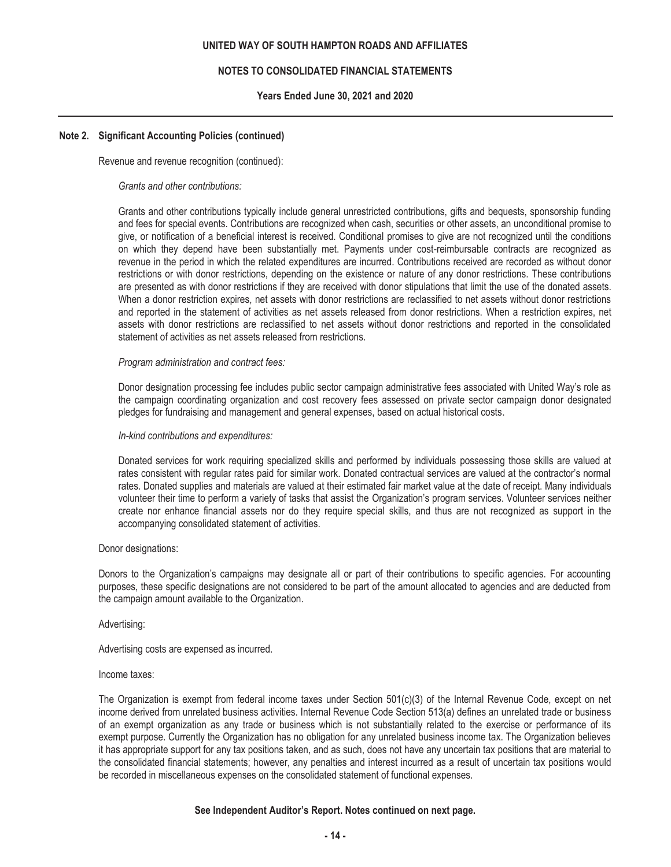#### **NOTES TO CONSOLIDATED FINANCIAL STATEMENTS**

**Years Ended June 30, 2021 and 2020** 

#### **Note 2. Significant Accounting Policies (continued)**

Revenue and revenue recognition (continued):

#### *Grants and other contributions:*

Grants and other contributions typically include general unrestricted contributions, gifts and bequests, sponsorship funding and fees for special events. Contributions are recognized when cash, securities or other assets, an unconditional promise to give, or notification of a beneficial interest is received. Conditional promises to give are not recognized until the conditions on which they depend have been substantially met. Payments under cost-reimbursable contracts are recognized as revenue in the period in which the related expenditures are incurred. Contributions received are recorded as without donor restrictions or with donor restrictions, depending on the existence or nature of any donor restrictions. These contributions are presented as with donor restrictions if they are received with donor stipulations that limit the use of the donated assets. When a donor restriction expires, net assets with donor restrictions are reclassified to net assets without donor restrictions and reported in the statement of activities as net assets released from donor restrictions. When a restriction expires, net assets with donor restrictions are reclassified to net assets without donor restrictions and reported in the consolidated statement of activities as net assets released from restrictions.

#### *Program administration and contract fees:*

Donor designation processing fee includes public sector campaign administrative fees associated with United Way's role as the campaign coordinating organization and cost recovery fees assessed on private sector campaign donor designated pledges for fundraising and management and general expenses, based on actual historical costs.

#### *In-kind contributions and expenditures:*

Donated services for work requiring specialized skills and performed by individuals possessing those skills are valued at rates consistent with regular rates paid for similar work. Donated contractual services are valued at the contractor's normal rates. Donated supplies and materials are valued at their estimated fair market value at the date of receipt. Many individuals volunteer their time to perform a variety of tasks that assist the Organization's program services. Volunteer services neither create nor enhance financial assets nor do they require special skills, and thus are not recognized as support in the accompanying consolidated statement of activities.

#### Donor designations:

Donors to the Organization's campaigns may designate all or part of their contributions to specific agencies. For accounting purposes, these specific designations are not considered to be part of the amount allocated to agencies and are deducted from the campaign amount available to the Organization.

#### Advertising:

Advertising costs are expensed as incurred.

#### Income taxes:

The Organization is exempt from federal income taxes under Section 501(c)(3) of the Internal Revenue Code, except on net income derived from unrelated business activities. Internal Revenue Code Section 513(a) defines an unrelated trade or business of an exempt organization as any trade or business which is not substantially related to the exercise or performance of its exempt purpose. Currently the Organization has no obligation for any unrelated business income tax. The Organization believes it has appropriate support for any tax positions taken, and as such, does not have any uncertain tax positions that are material to the consolidated financial statements; however, any penalties and interest incurred as a result of uncertain tax positions would be recorded in miscellaneous expenses on the consolidated statement of functional expenses.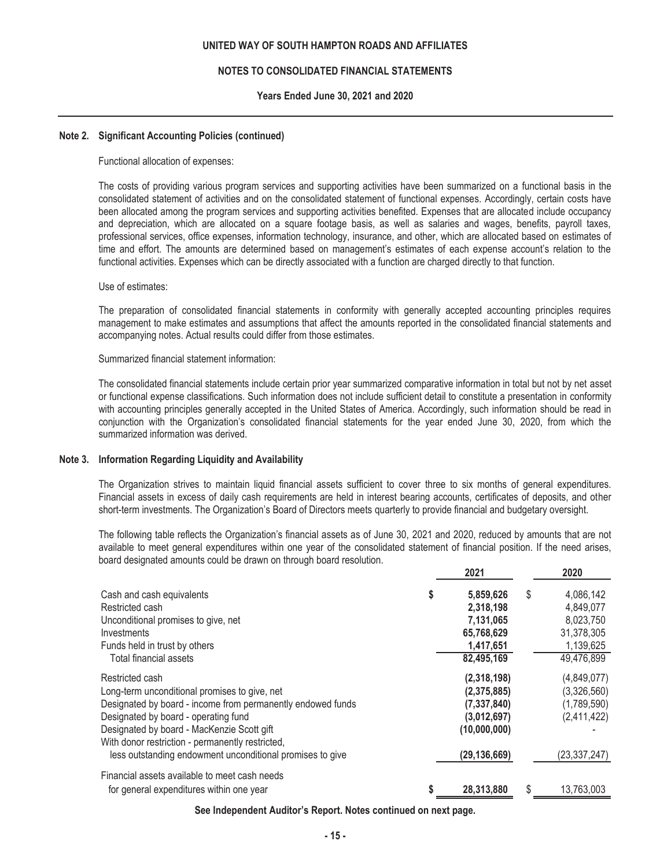#### **NOTES TO CONSOLIDATED FINANCIAL STATEMENTS**

**Years Ended June 30, 2021 and 2020** 

#### **Note 2. Significant Accounting Policies (continued)**

#### Functional allocation of expenses:

The costs of providing various program services and supporting activities have been summarized on a functional basis in the consolidated statement of activities and on the consolidated statement of functional expenses. Accordingly, certain costs have been allocated among the program services and supporting activities benefited. Expenses that are allocated include occupancy and depreciation, which are allocated on a square footage basis, as well as salaries and wages, benefits, payroll taxes, professional services, office expenses, information technology, insurance, and other, which are allocated based on estimates of time and effort. The amounts are determined based on management's estimates of each expense account's relation to the functional activities. Expenses which can be directly associated with a function are charged directly to that function.

#### Use of estimates:

The preparation of consolidated financial statements in conformity with generally accepted accounting principles requires management to make estimates and assumptions that affect the amounts reported in the consolidated financial statements and accompanying notes. Actual results could differ from those estimates.

Summarized financial statement information:

The consolidated financial statements include certain prior year summarized comparative information in total but not by net asset or functional expense classifications. Such information does not include sufficient detail to constitute a presentation in conformity with accounting principles generally accepted in the United States of America. Accordingly, such information should be read in conjunction with the Organization's consolidated financial statements for the year ended June 30, 2020, from which the summarized information was derived.

#### **Note 3. Information Regarding Liquidity and Availability**

The Organization strives to maintain liquid financial assets sufficient to cover three to six months of general expenditures. Financial assets in excess of daily cash requirements are held in interest bearing accounts, certificates of deposits, and other short-term investments. The Organization's Board of Directors meets quarterly to provide financial and budgetary oversight.

The following table reflects the Organization's financial assets as of June 30, 2021 and 2020, reduced by amounts that are not available to meet general expenditures within one year of the consolidated statement of financial position. If the need arises, board designated amounts could be drawn on through board resolution.

|                                                             |    | 2021           |    | 2020           |
|-------------------------------------------------------------|----|----------------|----|----------------|
| Cash and cash equivalents                                   | \$ | 5,859,626      | \$ | 4,086,142      |
| Restricted cash                                             |    | 2,318,198      |    | 4,849,077      |
| Unconditional promises to give, net                         |    | 7,131,065      |    | 8,023,750      |
| Investments                                                 |    | 65,768,629     |    | 31,378,305     |
| Funds held in trust by others                               |    | 1,417,651      |    | 1,139,625      |
| Total financial assets                                      |    | 82,495,169     |    | 49,476,899     |
| Restricted cash                                             |    | (2,318,198)    |    | (4,849,077)    |
| Long-term unconditional promises to give, net               |    | (2,375,885)    |    | (3,326,560)    |
| Designated by board - income from permanently endowed funds |    | (7, 337, 840)  |    | (1,789,590)    |
| Designated by board - operating fund                        |    | (3,012,697)    |    | (2,411,422)    |
| Designated by board - MacKenzie Scott gift                  |    | (10,000,000)   |    |                |
| With donor restriction - permanently restricted,            |    |                |    |                |
| less outstanding endowment unconditional promises to give   |    | (29, 136, 669) |    | (23, 337, 247) |
| Financial assets available to meet cash needs               |    |                |    |                |
| for general expenditures within one year                    | S  | 28,313,880     | S  | 13,763,003     |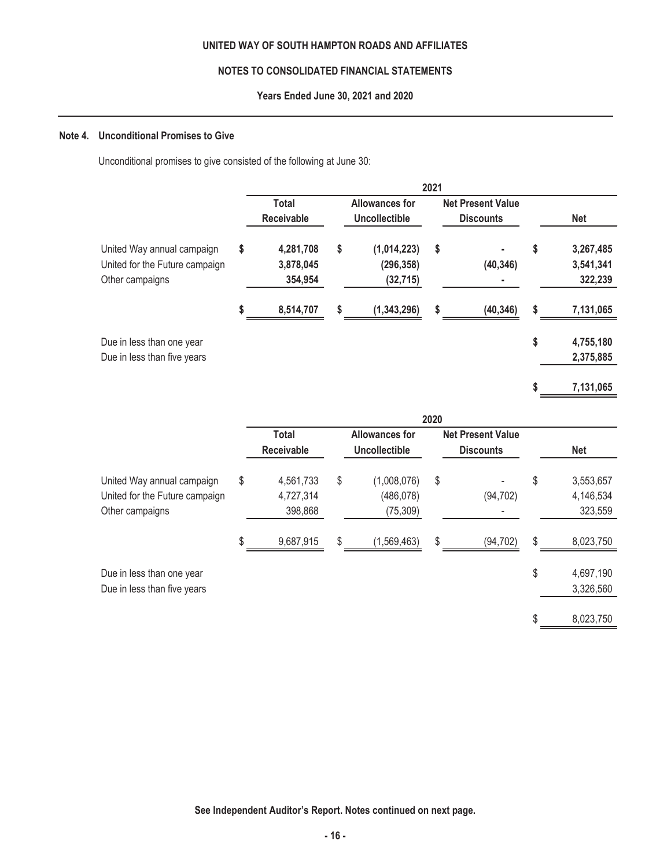## **NOTES TO CONSOLIDATED FINANCIAL STATEMENTS**

## **Years Ended June 30, 2021 and 2020**

## **Note 4. Unconditional Promises to Give**

Unconditional promises to give consisted of the following at June 30:

|                                                                                 | 2021 |                                   |    |                                        |    |                                              |    |                                   |
|---------------------------------------------------------------------------------|------|-----------------------------------|----|----------------------------------------|----|----------------------------------------------|----|-----------------------------------|
|                                                                                 |      | <b>Total</b><br><b>Receivable</b> |    | Allowances for<br><b>Uncollectible</b> |    | <b>Net Present Value</b><br><b>Discounts</b> |    | <b>Net</b>                        |
| United Way annual campaign<br>United for the Future campaign<br>Other campaigns | \$   | 4,281,708<br>3,878,045<br>354,954 | \$ | (1,014,223)<br>(296, 358)<br>(32, 715) | \$ | (40, 346)<br>٠                               | \$ | 3,267,485<br>3,541,341<br>322,239 |
|                                                                                 | S    | 8,514,707                         | \$ | (1,343,296)                            | \$ | (40, 346)                                    | S  | 7,131,065                         |
| Due in less than one year<br>Due in less than five years                        |      |                                   |    |                                        |    |                                              | \$ | 4,755,180<br>2,375,885            |
|                                                                                 |      |                                   |    |                                        |    |                                              | S  | 7,131,065                         |

|                                                                                 | 2020 |                                   |    |                                        |    |                                              |    |                                   |
|---------------------------------------------------------------------------------|------|-----------------------------------|----|----------------------------------------|----|----------------------------------------------|----|-----------------------------------|
|                                                                                 |      | <b>Total</b><br><b>Receivable</b> |    | Allowances for<br><b>Uncollectible</b> |    | <b>Net Present Value</b><br><b>Discounts</b> |    | <b>Net</b>                        |
| United Way annual campaign<br>United for the Future campaign<br>Other campaigns | \$   | 4,561,733<br>4,727,314<br>398,868 | \$ | (1,008,076)<br>(486, 078)<br>(75, 309) | \$ | (94, 702)                                    | \$ | 3,553,657<br>4,146,534<br>323,559 |
|                                                                                 | \$   | 9,687,915                         | \$ | (1,569,463)                            | \$ | (94, 702)                                    | \$ | 8,023,750                         |
| Due in less than one year<br>Due in less than five years                        |      |                                   |    |                                        |    |                                              | \$ | 4,697,190<br>3,326,560            |
|                                                                                 |      |                                   |    |                                        |    |                                              | \$ | 8,023,750                         |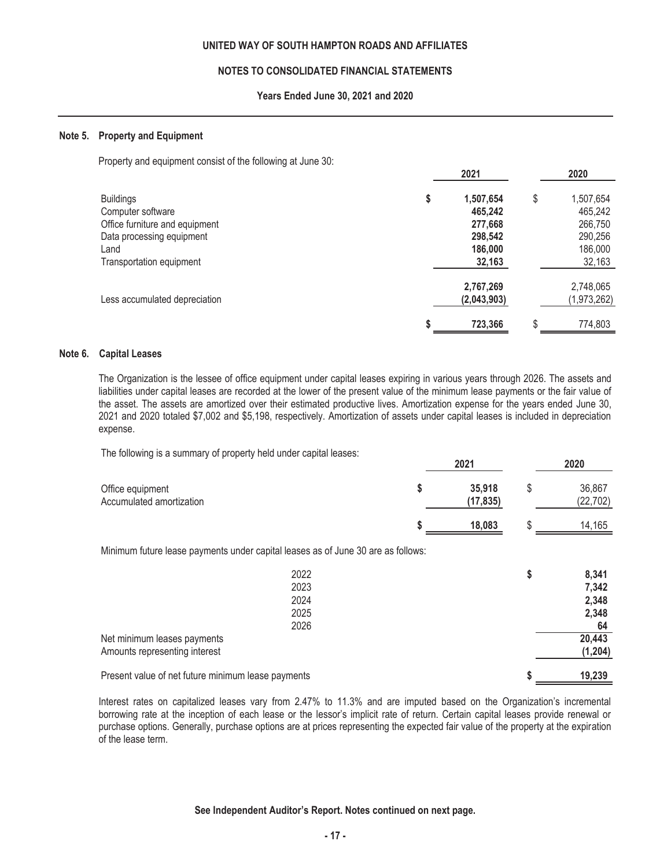#### **NOTES TO CONSOLIDATED FINANCIAL STATEMENTS**

**Years Ended June 30, 2021 and 2020** 

#### **Note 5. Property and Equipment**

Property and equipment consist of the following at June 30:

|                                                                         | 2021                                  | 2020                                  |
|-------------------------------------------------------------------------|---------------------------------------|---------------------------------------|
| <b>Buildings</b><br>Computer software<br>Office furniture and equipment | \$<br>1,507,654<br>465,242<br>277,668 | \$<br>1,507,654<br>465,242<br>266,750 |
| Data processing equipment<br>Land<br>Transportation equipment           | 298,542<br>186,000<br>32,163          | 290,256<br>186,000<br>32,163          |
| Less accumulated depreciation                                           | 2,767,269<br>(2,043,903)              | 2,748,065<br>(1,973,262)              |
|                                                                         | \$<br>723,366                         | \$<br>774,803                         |

#### **Note 6. Capital Leases**

The Organization is the lessee of office equipment under capital leases expiring in various years through 2026. The assets and liabilities under capital leases are recorded at the lower of the present value of the minimum lease payments or the fair value of the asset. The assets are amortized over their estimated productive lives. Amortization expense for the years ended June 30, 2021 and 2020 totaled \$7,002 and \$5,198, respectively. Amortization of assets under capital leases is included in depreciation expense.

The following is a summary of property held under capital leases:

|                                              | 2021                | 2020                |
|----------------------------------------------|---------------------|---------------------|
| Office equipment<br>Accumulated amortization | 35,918<br>(17, 835) | 36,867<br>(22, 702) |
|                                              | 18,083              | 14,165              |

Minimum future lease payments under capital leases as of June 30 are as follows:

| 2022                                               | S | 8,341    |
|----------------------------------------------------|---|----------|
| 2023                                               |   | 7,342    |
| 2024                                               |   | 2,348    |
| 2025                                               |   | 2,348    |
| 2026                                               |   | 64       |
| Net minimum leases payments                        |   | 20,443   |
| Amounts representing interest                      |   | (1, 204) |
| Present value of net future minimum lease payments |   | 19.239   |

Interest rates on capitalized leases vary from 2.47% to 11.3% and are imputed based on the Organization's incremental borrowing rate at the inception of each lease or the lessor's implicit rate of return. Certain capital leases provide renewal or purchase options. Generally, purchase options are at prices representing the expected fair value of the property at the expiration of the lease term.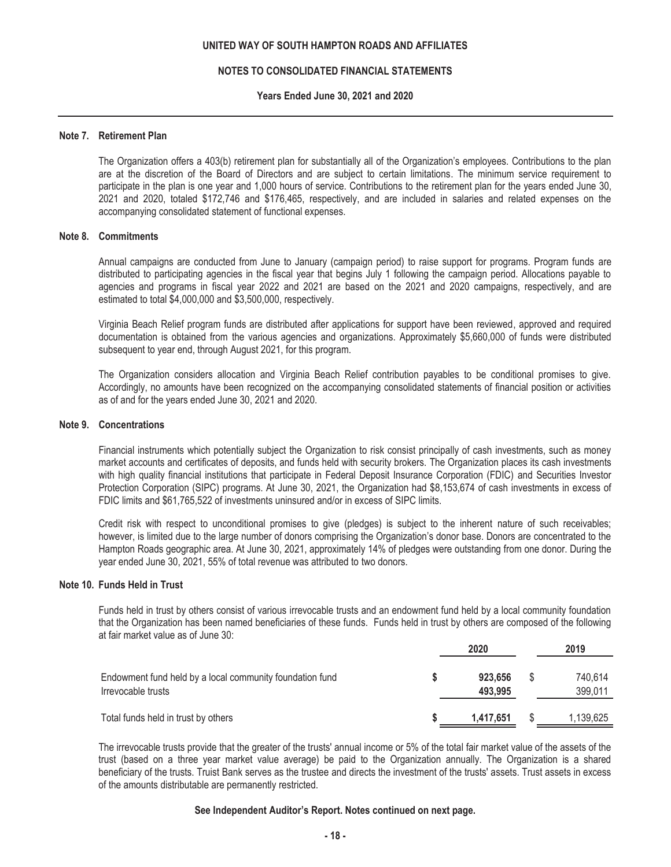#### **NOTES TO CONSOLIDATED FINANCIAL STATEMENTS**

#### **Years Ended June 30, 2021 and 2020**

#### **Note 7. Retirement Plan**

The Organization offers a 403(b) retirement plan for substantially all of the Organization's employees. Contributions to the plan are at the discretion of the Board of Directors and are subject to certain limitations. The minimum service requirement to participate in the plan is one year and 1,000 hours of service. Contributions to the retirement plan for the years ended June 30, 2021 and 2020, totaled \$172,746 and \$176,465, respectively, and are included in salaries and related expenses on the accompanying consolidated statement of functional expenses.

### **Note 8. Commitments**

Annual campaigns are conducted from June to January (campaign period) to raise support for programs. Program funds are distributed to participating agencies in the fiscal year that begins July 1 following the campaign period. Allocations payable to agencies and programs in fiscal year 2022 and 2021 are based on the 2021 and 2020 campaigns, respectively, and are estimated to total \$4,000,000 and \$3,500,000, respectively.

Virginia Beach Relief program funds are distributed after applications for support have been reviewed, approved and required documentation is obtained from the various agencies and organizations. Approximately \$5,660,000 of funds were distributed subsequent to year end, through August 2021, for this program.

The Organization considers allocation and Virginia Beach Relief contribution payables to be conditional promises to give. Accordingly, no amounts have been recognized on the accompanying consolidated statements of financial position or activities as of and for the years ended June 30, 2021 and 2020.

#### **Note 9. Concentrations**

Financial instruments which potentially subject the Organization to risk consist principally of cash investments, such as money market accounts and certificates of deposits, and funds held with security brokers. The Organization places its cash investments with high quality financial institutions that participate in Federal Deposit Insurance Corporation (FDIC) and Securities Investor Protection Corporation (SIPC) programs. At June 30, 2021, the Organization had \$8,153,674 of cash investments in excess of FDIC limits and \$61,765,522 of investments uninsured and/or in excess of SIPC limits.

Credit risk with respect to unconditional promises to give (pledges) is subject to the inherent nature of such receivables; however, is limited due to the large number of donors comprising the Organization's donor base. Donors are concentrated to the Hampton Roads geographic area. At June 30, 2021, approximately 14% of pledges were outstanding from one donor. During the year ended June 30, 2021, 55% of total revenue was attributed to two donors.

#### **Note 10. Funds Held in Trust**

Funds held in trust by others consist of various irrevocable trusts and an endowment fund held by a local community foundation that the Organization has been named beneficiaries of these funds. Funds held in trust by others are composed of the following at fair market value as of June 30:

|                                                                                | 2020               | 2019               |
|--------------------------------------------------------------------------------|--------------------|--------------------|
| Endowment fund held by a local community foundation fund<br>Irrevocable trusts | 923.656<br>493.995 | 740.614<br>399.011 |
| Total funds held in trust by others                                            | 1.417.651          | 1,139,625          |

The irrevocable trusts provide that the greater of the trusts' annual income or 5% of the total fair market value of the assets of the trust (based on a three year market value average) be paid to the Organization annually. The Organization is a shared beneficiary of the trusts. Truist Bank serves as the trustee and directs the investment of the trusts' assets. Trust assets in excess of the amounts distributable are permanently restricted.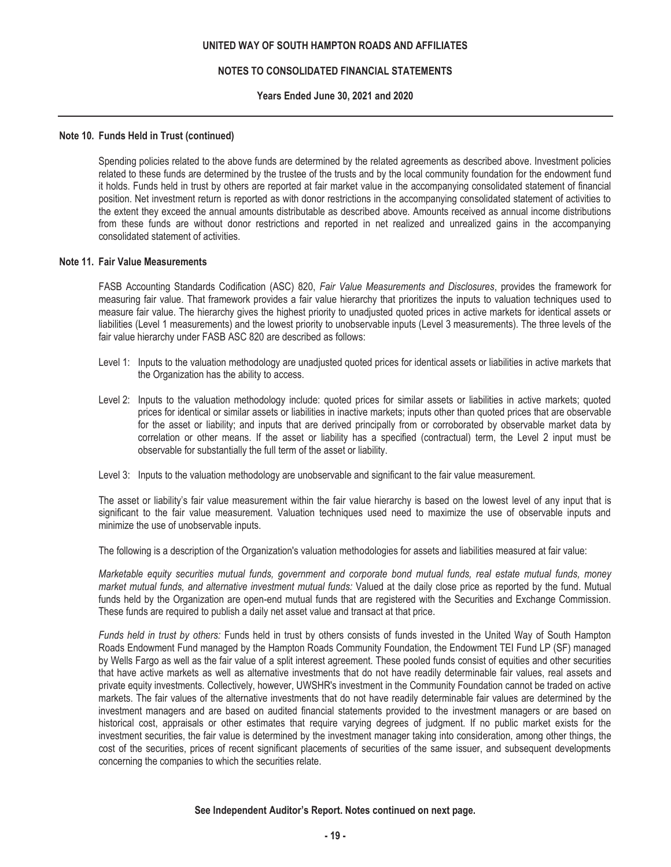#### **NOTES TO CONSOLIDATED FINANCIAL STATEMENTS**

**Years Ended June 30, 2021 and 2020** 

#### **Note 10. Funds Held in Trust (continued)**

Spending policies related to the above funds are determined by the related agreements as described above. Investment policies related to these funds are determined by the trustee of the trusts and by the local community foundation for the endowment fund it holds. Funds held in trust by others are reported at fair market value in the accompanying consolidated statement of financial position. Net investment return is reported as with donor restrictions in the accompanying consolidated statement of activities to the extent they exceed the annual amounts distributable as described above. Amounts received as annual income distributions from these funds are without donor restrictions and reported in net realized and unrealized gains in the accompanying consolidated statement of activities.

## **Note 11. Fair Value Measurements**

FASB Accounting Standards Codification (ASC) 820, *Fair Value Measurements and Disclosures*, provides the framework for measuring fair value. That framework provides a fair value hierarchy that prioritizes the inputs to valuation techniques used to measure fair value. The hierarchy gives the highest priority to unadjusted quoted prices in active markets for identical assets or liabilities (Level 1 measurements) and the lowest priority to unobservable inputs (Level 3 measurements). The three levels of the fair value hierarchy under FASB ASC 820 are described as follows:

- Level 1: Inputs to the valuation methodology are unadjusted quoted prices for identical assets or liabilities in active markets that the Organization has the ability to access.
- Level 2: Inputs to the valuation methodology include: quoted prices for similar assets or liabilities in active markets; quoted prices for identical or similar assets or liabilities in inactive markets; inputs other than quoted prices that are observable for the asset or liability; and inputs that are derived principally from or corroborated by observable market data by correlation or other means. If the asset or liability has a specified (contractual) term, the Level 2 input must be observable for substantially the full term of the asset or liability.
- Level 3: Inputs to the valuation methodology are unobservable and significant to the fair value measurement.

The asset or liability's fair value measurement within the fair value hierarchy is based on the lowest level of any input that is significant to the fair value measurement. Valuation techniques used need to maximize the use of observable inputs and minimize the use of unobservable inputs.

The following is a description of the Organization's valuation methodologies for assets and liabilities measured at fair value:

*Marketable equity securities mutual funds, government and corporate bond mutual funds, real estate mutual funds, money market mutual funds, and alternative investment mutual funds:* Valued at the daily close price as reported by the fund. Mutual funds held by the Organization are open-end mutual funds that are registered with the Securities and Exchange Commission. These funds are required to publish a daily net asset value and transact at that price.

*Funds held in trust by others:* Funds held in trust by others consists of funds invested in the United Way of South Hampton Roads Endowment Fund managed by the Hampton Roads Community Foundation, the Endowment TEI Fund LP (SF) managed by Wells Fargo as well as the fair value of a split interest agreement. These pooled funds consist of equities and other securities that have active markets as well as alternative investments that do not have readily determinable fair values, real assets and private equity investments. Collectively, however, UWSHR's investment in the Community Foundation cannot be traded on active markets. The fair values of the alternative investments that do not have readily determinable fair values are determined by the investment managers and are based on audited financial statements provided to the investment managers or are based on historical cost, appraisals or other estimates that require varying degrees of judgment. If no public market exists for the investment securities, the fair value is determined by the investment manager taking into consideration, among other things, the cost of the securities, prices of recent significant placements of securities of the same issuer, and subsequent developments concerning the companies to which the securities relate.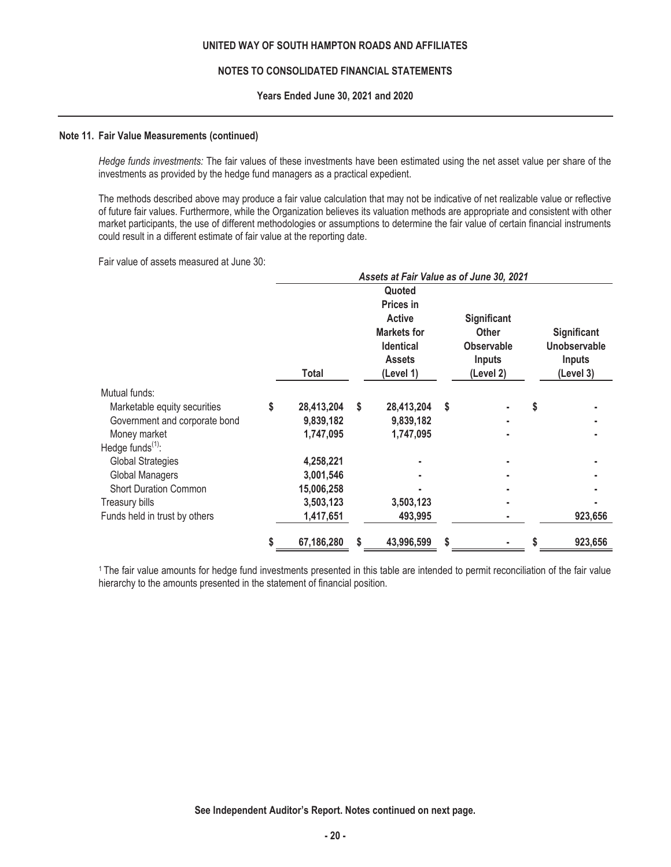## **NOTES TO CONSOLIDATED FINANCIAL STATEMENTS**

**Years Ended June 30, 2021 and 2020** 

#### **Note 11. Fair Value Measurements (continued)**

*Hedge funds investments:* The fair values of these investments have been estimated using the net asset value per share of the investments as provided by the hedge fund managers as a practical expedient.

The methods described above may produce a fair value calculation that may not be indicative of net realizable value or reflective of future fair values. Furthermore, while the Organization believes its valuation methods are appropriate and consistent with other market participants, the use of different methodologies or assumptions to determine the fair value of certain financial instruments could result in a different estimate of fair value at the reporting date.

Fair value of assets measured at June 30:

|                               |                  |    | Assets at Fair Value as of June 30, 2021                                                                     |   |                                                                                       |                                                                  |
|-------------------------------|------------------|----|--------------------------------------------------------------------------------------------------------------|---|---------------------------------------------------------------------------------------|------------------------------------------------------------------|
|                               | Total            |    | Quoted<br>Prices in<br><b>Active</b><br><b>Markets for</b><br><b>Identical</b><br><b>Assets</b><br>(Level 1) |   | <b>Significant</b><br><b>Other</b><br><b>Observable</b><br><b>Inputs</b><br>(Level 2) | <b>Significant</b><br>Unobservable<br><b>Inputs</b><br>(Level 3) |
| Mutual funds:                 |                  |    |                                                                                                              |   |                                                                                       |                                                                  |
| Marketable equity securities  | \$<br>28,413,204 | \$ | 28,413,204                                                                                                   | S |                                                                                       | \$                                                               |
| Government and corporate bond | 9,839,182        |    | 9,839,182                                                                                                    |   |                                                                                       |                                                                  |
| Money market                  | 1,747,095        |    | 1,747,095                                                                                                    |   |                                                                                       |                                                                  |
| Hedge funds $^{(1)}$ :        |                  |    |                                                                                                              |   |                                                                                       |                                                                  |
| <b>Global Strategies</b>      | 4,258,221        |    |                                                                                                              |   |                                                                                       |                                                                  |
| Global Managers               | 3,001,546        |    |                                                                                                              |   |                                                                                       |                                                                  |
| Short Duration Common         | 15,006,258       |    |                                                                                                              |   |                                                                                       |                                                                  |
| Treasury bills                | 3,503,123        |    | 3,503,123                                                                                                    |   |                                                                                       |                                                                  |
| Funds held in trust by others | 1,417,651        |    | 493,995                                                                                                      |   |                                                                                       | 923,656                                                          |
|                               | 67,186,280       | S  | 43,996,599                                                                                                   | S |                                                                                       | 923,656                                                          |

1 The fair value amounts for hedge fund investments presented in this table are intended to permit reconciliation of the fair value hierarchy to the amounts presented in the statement of financial position.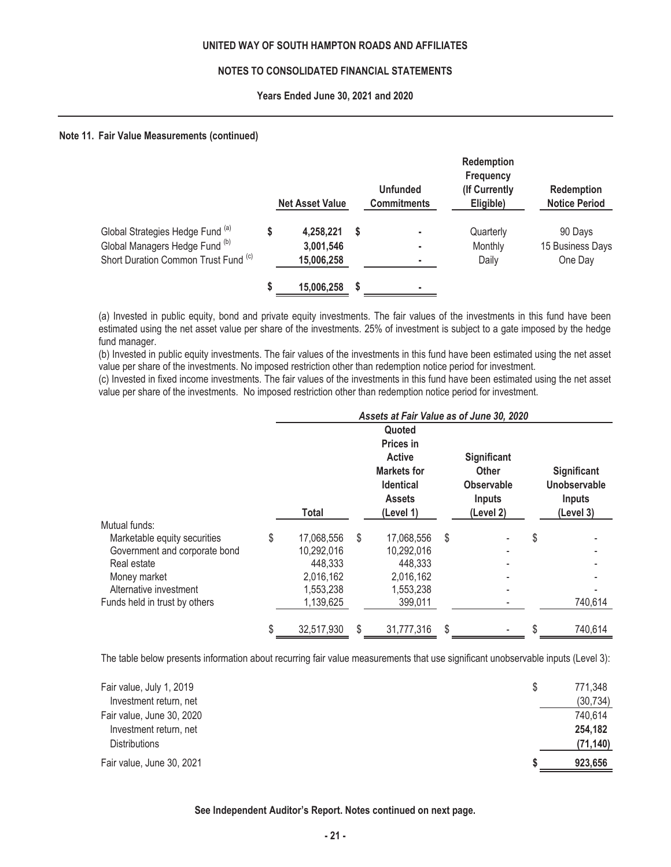## **NOTES TO CONSOLIDATED FINANCIAL STATEMENTS**

**Years Ended June 30, 2021 and 2020** 

#### **Note 11. Fair Value Measurements (continued)**

|                                      |   | <b>Net Asset Value</b> |   | <b>Unfunded</b><br><b>Commitments</b> | <b>Redemption</b><br><b>Frequency</b><br>(If Currently<br>Eligible) | <b>Redemption</b><br><b>Notice Period</b> |
|--------------------------------------|---|------------------------|---|---------------------------------------|---------------------------------------------------------------------|-------------------------------------------|
| Global Strategies Hedge Fund (a)     |   | 4,258,221              | S | ٠                                     | Quarterly                                                           | 90 Days                                   |
| Global Managers Hedge Fund (b)       |   | 3,001,546              |   | ٠                                     | Monthly                                                             | 15 Business Days                          |
| Short Duration Common Trust Fund (c) |   | 15,006,258             |   | ٠                                     | Daily                                                               | One Day                                   |
|                                      | S | 15,006,258             | S | ۰                                     |                                                                     |                                           |

(a) Invested in public equity, bond and private equity investments. The fair values of the investments in this fund have been estimated using the net asset value per share of the investments. 25% of investment is subject to a gate imposed by the hedge fund manager.

(b) Invested in public equity investments. The fair values of the investments in this fund have been estimated using the net asset value per share of the investments. No imposed restriction other than redemption notice period for investment.

(c) Invested in fixed income investments. The fair values of the investments in this fund have been estimated using the net asset value per share of the investments. No imposed restriction other than redemption notice period for investment.

|                               | Assets at Fair Value as of June 30, 2020 |    |                                                                                                              |    |                                                                                |    |                                                           |
|-------------------------------|------------------------------------------|----|--------------------------------------------------------------------------------------------------------------|----|--------------------------------------------------------------------------------|----|-----------------------------------------------------------|
|                               | Total                                    |    | Quoted<br>Prices in<br><b>Active</b><br><b>Markets for</b><br><b>Identical</b><br><b>Assets</b><br>(Level 1) |    | <b>Significant</b><br>Other<br><b>Observable</b><br><b>Inputs</b><br>(Level 2) |    | Significant<br>Unobservable<br><b>Inputs</b><br>(Level 3) |
| Mutual funds:                 |                                          |    |                                                                                                              |    |                                                                                |    |                                                           |
| Marketable equity securities  | \$<br>17,068,556                         | \$ | 17,068,556                                                                                                   | S  |                                                                                | \$ |                                                           |
| Government and corporate bond | 10,292,016                               |    | 10,292,016                                                                                                   |    |                                                                                |    |                                                           |
| Real estate                   | 448,333                                  |    | 448,333                                                                                                      |    |                                                                                |    |                                                           |
| Money market                  | 2,016,162                                |    | 2,016,162                                                                                                    |    |                                                                                |    |                                                           |
| Alternative investment        | 1,553,238                                |    | 1,553,238                                                                                                    |    |                                                                                |    |                                                           |
| Funds held in trust by others | 1,139,625                                |    | 399,011                                                                                                      |    |                                                                                |    | 740,614                                                   |
|                               | 32,517,930                               | \$ | 31,777,316                                                                                                   | \$ |                                                                                | \$ | 740,614                                                   |

The table below presents information about recurring fair value measurements that use significant unobservable inputs (Level 3):

| Fair value, July 1, 2019<br>Investment return, net  | S | 771,348<br>(30, 734) |
|-----------------------------------------------------|---|----------------------|
| Fair value, June 30, 2020<br>Investment return, net |   | 740,614<br>254.182   |
| <b>Distributions</b>                                |   | (71, 140)            |
| Fair value, June 30, 2021                           |   | 923.656              |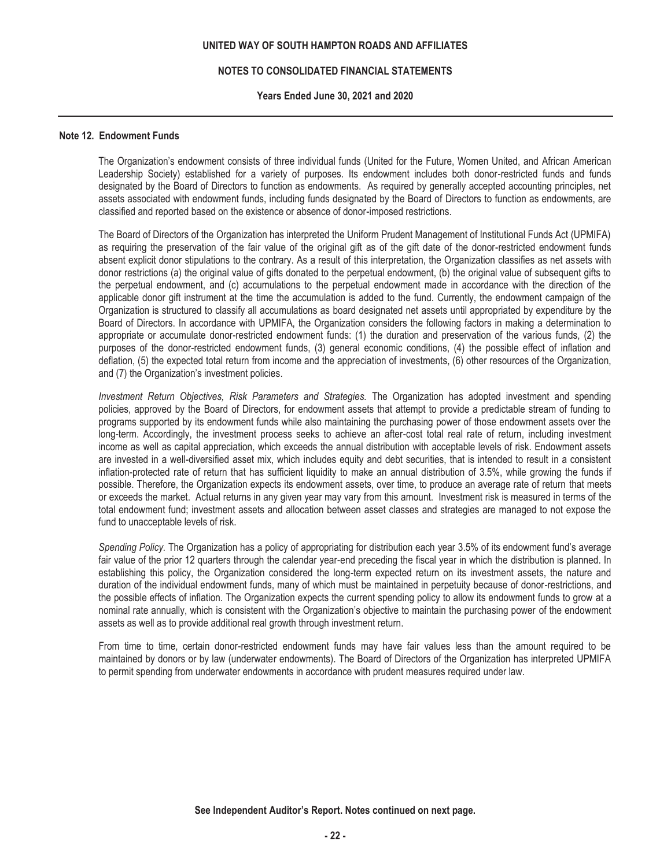#### **NOTES TO CONSOLIDATED FINANCIAL STATEMENTS**

**Years Ended June 30, 2021 and 2020** 

## **Note 12. Endowment Funds**

The Organization's endowment consists of three individual funds (United for the Future, Women United, and African American Leadership Society) established for a variety of purposes. Its endowment includes both donor-restricted funds and funds designated by the Board of Directors to function as endowments. As required by generally accepted accounting principles, net assets associated with endowment funds, including funds designated by the Board of Directors to function as endowments, are classified and reported based on the existence or absence of donor-imposed restrictions.

The Board of Directors of the Organization has interpreted the Uniform Prudent Management of Institutional Funds Act (UPMIFA) as requiring the preservation of the fair value of the original gift as of the gift date of the donor-restricted endowment funds absent explicit donor stipulations to the contrary. As a result of this interpretation, the Organization classifies as net assets with donor restrictions (a) the original value of gifts donated to the perpetual endowment, (b) the original value of subsequent gifts to the perpetual endowment, and (c) accumulations to the perpetual endowment made in accordance with the direction of the applicable donor gift instrument at the time the accumulation is added to the fund. Currently, the endowment campaign of the Organization is structured to classify all accumulations as board designated net assets until appropriated by expenditure by the Board of Directors. In accordance with UPMIFA, the Organization considers the following factors in making a determination to appropriate or accumulate donor-restricted endowment funds: (1) the duration and preservation of the various funds, (2) the purposes of the donor-restricted endowment funds, (3) general economic conditions, (4) the possible effect of inflation and deflation, (5) the expected total return from income and the appreciation of investments, (6) other resources of the Organization, and (7) the Organization's investment policies.

*Investment Return Objectives, Risk Parameters and Strategies.* The Organization has adopted investment and spending policies, approved by the Board of Directors, for endowment assets that attempt to provide a predictable stream of funding to programs supported by its endowment funds while also maintaining the purchasing power of those endowment assets over the long-term. Accordingly, the investment process seeks to achieve an after-cost total real rate of return, including investment income as well as capital appreciation, which exceeds the annual distribution with acceptable levels of risk. Endowment assets are invested in a well-diversified asset mix, which includes equity and debt securities, that is intended to result in a consistent inflation-protected rate of return that has sufficient liquidity to make an annual distribution of 3.5%, while growing the funds if possible. Therefore, the Organization expects its endowment assets, over time, to produce an average rate of return that meets or exceeds the market. Actual returns in any given year may vary from this amount. Investment risk is measured in terms of the total endowment fund; investment assets and allocation between asset classes and strategies are managed to not expose the fund to unacceptable levels of risk.

*Spending Policy.* The Organization has a policy of appropriating for distribution each year 3.5% of its endowment fund's average fair value of the prior 12 quarters through the calendar year-end preceding the fiscal year in which the distribution is planned. In establishing this policy, the Organization considered the long-term expected return on its investment assets, the nature and duration of the individual endowment funds, many of which must be maintained in perpetuity because of donor-restrictions, and the possible effects of inflation. The Organization expects the current spending policy to allow its endowment funds to grow at a nominal rate annually, which is consistent with the Organization's objective to maintain the purchasing power of the endowment assets as well as to provide additional real growth through investment return.

From time to time, certain donor-restricted endowment funds may have fair values less than the amount required to be maintained by donors or by law (underwater endowments). The Board of Directors of the Organization has interpreted UPMIFA to permit spending from underwater endowments in accordance with prudent measures required under law.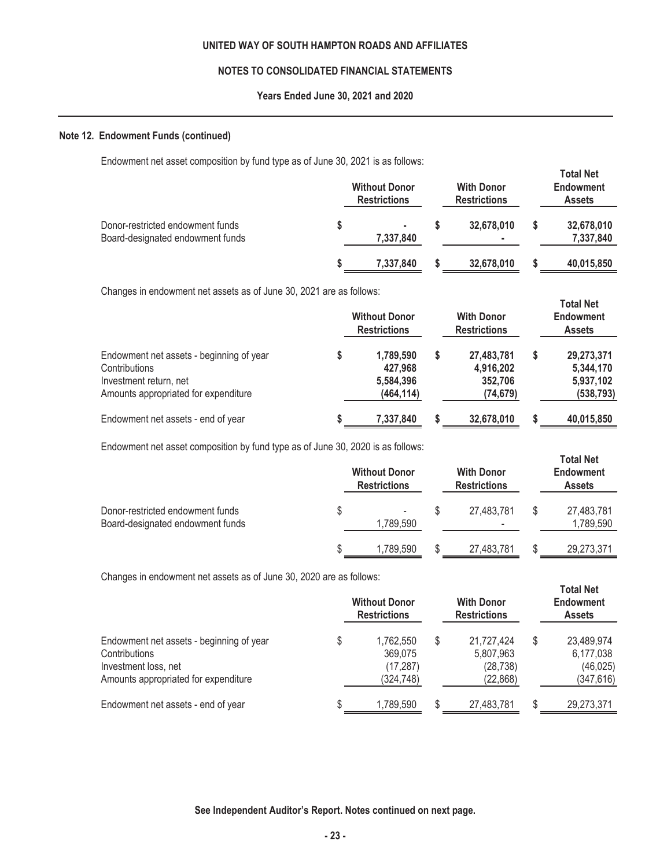## **NOTES TO CONSOLIDATED FINANCIAL STATEMENTS**

## **Years Ended June 30, 2021 and 2020**

#### **Note 12. Endowment Funds (continued)**

Endowment net asset composition by fund type as of June 30, 2021 is as follows:

|                                                                      | <b>Without Donor</b><br><b>With Donor</b><br><b>Restrictions</b><br><b>Restrictions</b> |  |                  |  | <b>Total Net</b><br><b>Endowment</b><br><b>Assets</b> |
|----------------------------------------------------------------------|-----------------------------------------------------------------------------------------|--|------------------|--|-------------------------------------------------------|
| Donor-restricted endowment funds<br>Board-designated endowment funds | ۰.<br>7,337,840                                                                         |  | 32,678,010<br>۰. |  | 32,678,010<br>7,337,840                               |
|                                                                      | 7,337,840                                                                               |  | 32,678,010       |  | 40,015,850                                            |

Changes in endowment net assets as of June 30, 2021 are as follows:

|                                                                                                                             |   | <b>Without Donor</b><br><b>Restrictions</b>     | <b>With Donor</b><br><b>Restrictions</b>        | <b>Total Net</b><br><b>Endowment</b><br><b>Assets</b> |
|-----------------------------------------------------------------------------------------------------------------------------|---|-------------------------------------------------|-------------------------------------------------|-------------------------------------------------------|
| Endowment net assets - beginning of year<br>Contributions<br>Investment return, net<br>Amounts appropriated for expenditure |   | 1,789,590<br>427.968<br>5,584,396<br>(464, 114) | 27,483,781<br>4,916,202<br>352.706<br>(74, 679) | 29,273,371<br>5,344,170<br>5,937,102<br>(538, 793)    |
| Endowment net assets - end of year                                                                                          | Ð | 7,337,840                                       | 32,678,010                                      | 40,015,850                                            |

Endowment net asset composition by fund type as of June 30, 2020 is as follows:

|                                                                      |   | <b>Without Donor</b><br><b>Restrictions</b> |   | <b>With Donor</b><br><b>Restrictions</b> | ו טנמו וזכנ<br>Endowment<br><b>Assets</b> |
|----------------------------------------------------------------------|---|---------------------------------------------|---|------------------------------------------|-------------------------------------------|
| Donor-restricted endowment funds<br>Board-designated endowment funds | S | 1,789,590                                   |   | 27.483.781<br>-                          | 27,483,781<br>1,789,590                   |
|                                                                      | S | 1.789.590                                   | S | 27,483,781                               | 29,273,371                                |

**Total Net**

Changes in endowment net assets as of June 30, 2020 are as follows:

|                                                                                                                           |    | <b>Without Donor</b><br><b>Restrictions</b>    |    | <b>With Donor</b><br><b>Restrictions</b>          |    | <b>Total Net</b><br><b>Endowment</b><br><b>Assets</b> |
|---------------------------------------------------------------------------------------------------------------------------|----|------------------------------------------------|----|---------------------------------------------------|----|-------------------------------------------------------|
| Endowment net assets - beginning of year<br>Contributions<br>Investment loss, net<br>Amounts appropriated for expenditure | \$ | 1,762,550<br>369,075<br>(17, 287)<br>(324,748) | \$ | 21,727,424<br>5,807,963<br>(28, 738)<br>(22, 868) | S  | 23,489,974<br>6,177,038<br>(46, 025)<br>(347, 616)    |
| Endowment net assets - end of year                                                                                        | ۰D | 1,789,590                                      | S  | 27,483,781                                        | \$ | 29,273,371                                            |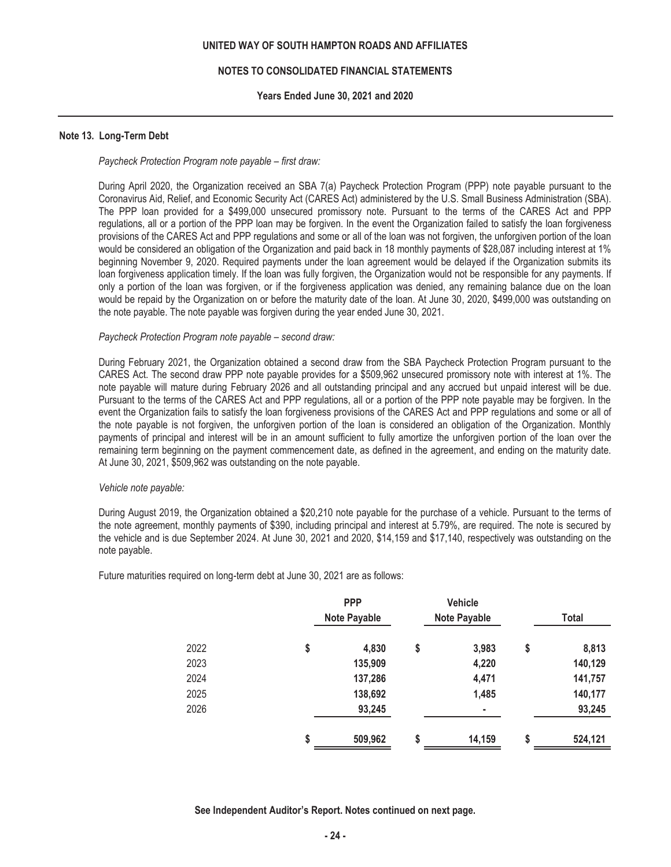#### **NOTES TO CONSOLIDATED FINANCIAL STATEMENTS**

**Years Ended June 30, 2021 and 2020** 

#### **Note 13. Long-Term Debt**

*Paycheck Protection Program note payable – first draw:* 

During April 2020, the Organization received an SBA 7(a) Paycheck Protection Program (PPP) note payable pursuant to the Coronavirus Aid, Relief, and Economic Security Act (CARES Act) administered by the U.S. Small Business Administration (SBA). The PPP loan provided for a \$499,000 unsecured promissory note. Pursuant to the terms of the CARES Act and PPP regulations, all or a portion of the PPP loan may be forgiven. In the event the Organization failed to satisfy the loan forgiveness provisions of the CARES Act and PPP regulations and some or all of the loan was not forgiven, the unforgiven portion of the loan would be considered an obligation of the Organization and paid back in 18 monthly payments of \$28,087 including interest at 1% beginning November 9, 2020. Required payments under the loan agreement would be delayed if the Organization submits its loan forgiveness application timely. If the loan was fully forgiven, the Organization would not be responsible for any payments. If only a portion of the loan was forgiven, or if the forgiveness application was denied, any remaining balance due on the loan would be repaid by the Organization on or before the maturity date of the loan. At June 30, 2020, \$499,000 was outstanding on the note payable. The note payable was forgiven during the year ended June 30, 2021.

#### *Paycheck Protection Program note payable – second draw:*

During February 2021, the Organization obtained a second draw from the SBA Paycheck Protection Program pursuant to the CARES Act. The second draw PPP note payable provides for a \$509,962 unsecured promissory note with interest at 1%. The note payable will mature during February 2026 and all outstanding principal and any accrued but unpaid interest will be due. Pursuant to the terms of the CARES Act and PPP regulations, all or a portion of the PPP note payable may be forgiven. In the event the Organization fails to satisfy the loan forgiveness provisions of the CARES Act and PPP regulations and some or all of the note payable is not forgiven, the unforgiven portion of the loan is considered an obligation of the Organization. Monthly payments of principal and interest will be in an amount sufficient to fully amortize the unforgiven portion of the loan over the remaining term beginning on the payment commencement date, as defined in the agreement, and ending on the maturity date. At June 30, 2021, \$509,962 was outstanding on the note payable.

#### *Vehicle note payable:*

During August 2019, the Organization obtained a \$20,210 note payable for the purchase of a vehicle. Pursuant to the terms of the note agreement, monthly payments of \$390, including principal and interest at 5.79%, are required. The note is secured by the vehicle and is due September 2024. At June 30, 2021 and 2020, \$14,159 and \$17,140, respectively was outstanding on the note payable.

Future maturities required on long-term debt at June 30, 2021 are as follows:

|      | <b>PPP</b><br>Note Payable | <b>Vehicle</b><br><b>Note Payable</b> | Total         |
|------|----------------------------|---------------------------------------|---------------|
| 2022 | \$<br>4,830                | \$<br>3,983                           | \$<br>8,813   |
| 2023 | 135,909                    | 4,220                                 | 140,129       |
| 2024 | 137,286                    | 4,471                                 | 141,757       |
| 2025 | 138,692                    | 1,485                                 | 140,177       |
| 2026 | 93,245                     | ٠                                     | 93,245        |
|      | \$<br>509,962              | \$<br>14,159                          | \$<br>524,121 |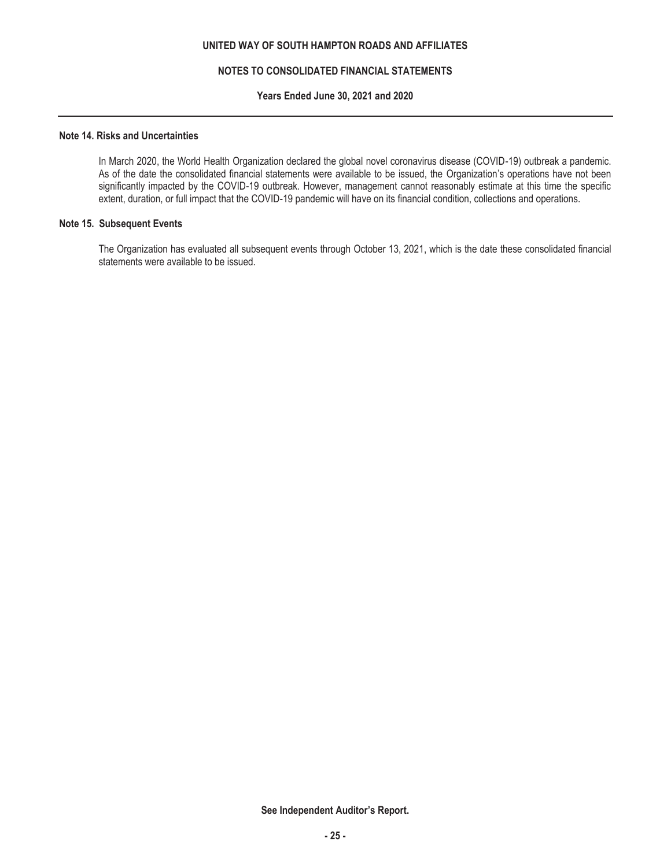## **NOTES TO CONSOLIDATED FINANCIAL STATEMENTS**

**Years Ended June 30, 2021 and 2020** 

#### **Note 14. Risks and Uncertainties**

In March 2020, the World Health Organization declared the global novel coronavirus disease (COVID-19) outbreak a pandemic. As of the date the consolidated financial statements were available to be issued, the Organization's operations have not been significantly impacted by the COVID-19 outbreak. However, management cannot reasonably estimate at this time the specific extent, duration, or full impact that the COVID-19 pandemic will have on its financial condition, collections and operations.

## **Note 15. Subsequent Events**

The Organization has evaluated all subsequent events through October 13, 2021, which is the date these consolidated financial statements were available to be issued.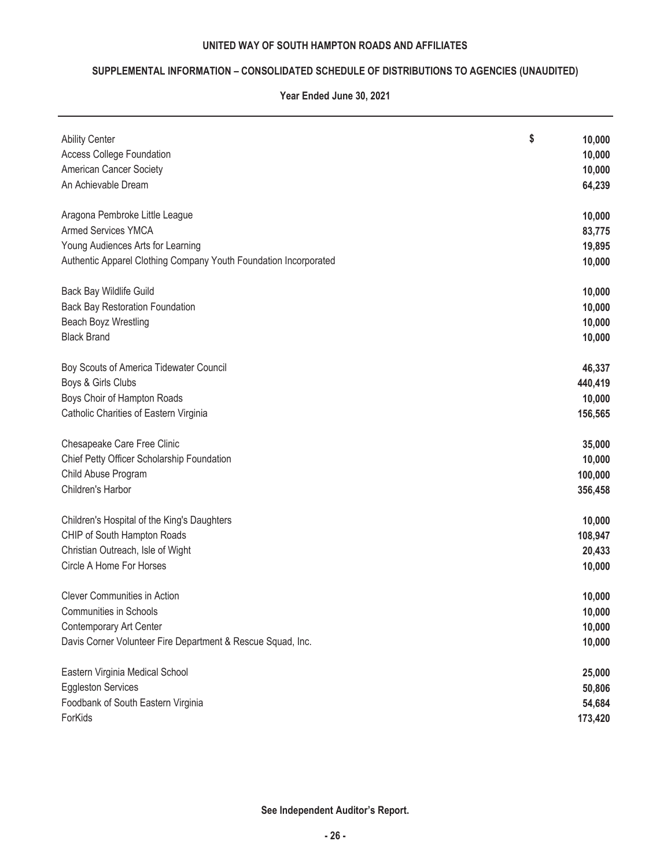# **SUPPLEMENTAL INFORMATION – CONSOLIDATED SCHEDULE OF DISTRIBUTIONS TO AGENCIES (UNAUDITED)**

## **Year Ended June 30, 2021**

| <b>Ability Center</b>                                            | S<br>10,000 |
|------------------------------------------------------------------|-------------|
| <b>Access College Foundation</b>                                 | 10,000      |
| American Cancer Society                                          | 10,000      |
| An Achievable Dream                                              | 64,239      |
| Aragona Pembroke Little League                                   | 10,000      |
| <b>Armed Services YMCA</b>                                       | 83,775      |
| Young Audiences Arts for Learning                                | 19,895      |
| Authentic Apparel Clothing Company Youth Foundation Incorporated | 10,000      |
| Back Bay Wildlife Guild                                          | 10,000      |
| <b>Back Bay Restoration Foundation</b>                           | 10,000      |
| Beach Boyz Wrestling                                             | 10,000      |
| <b>Black Brand</b>                                               | 10,000      |
| Boy Scouts of America Tidewater Council                          | 46,337      |
| Boys & Girls Clubs                                               | 440,419     |
| Boys Choir of Hampton Roads                                      | 10,000      |
| Catholic Charities of Eastern Virginia                           | 156,565     |
| Chesapeake Care Free Clinic                                      | 35,000      |
| Chief Petty Officer Scholarship Foundation                       | 10,000      |
| Child Abuse Program                                              | 100,000     |
| Children's Harbor                                                | 356,458     |
| Children's Hospital of the King's Daughters                      | 10,000      |
| CHIP of South Hampton Roads                                      | 108,947     |
| Christian Outreach, Isle of Wight                                | 20,433      |
| Circle A Home For Horses                                         | 10,000      |
| <b>Clever Communities in Action</b>                              | 10,000      |
| <b>Communities in Schools</b>                                    | 10,000      |
| Contemporary Art Center                                          | 10,000      |
| Davis Corner Volunteer Fire Department & Rescue Squad, Inc.      | 10,000      |
| Eastern Virginia Medical School                                  | 25,000      |
| <b>Eggleston Services</b>                                        | 50,806      |
| Foodbank of South Eastern Virginia                               | 54,684      |
| ForKids                                                          | 173,420     |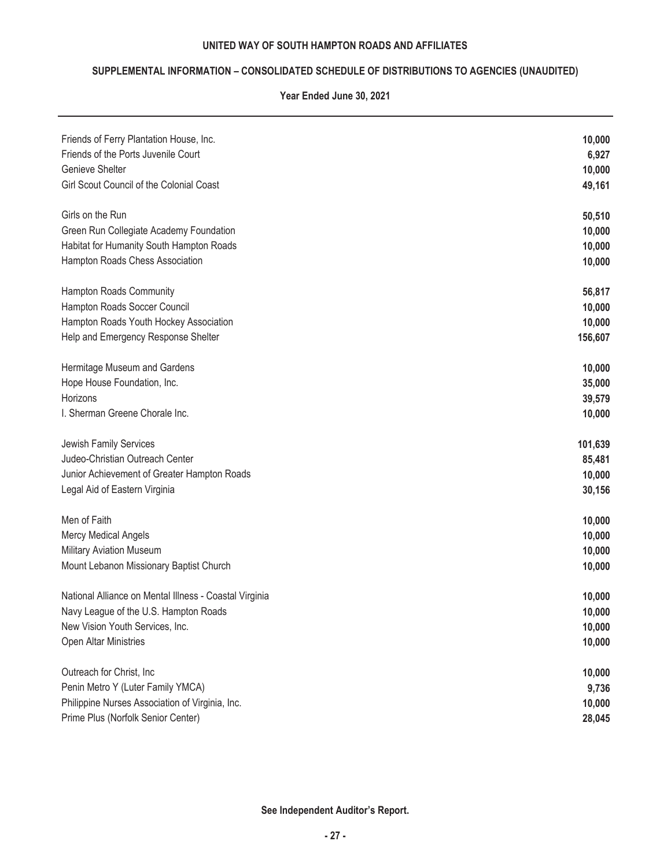# **SUPPLEMENTAL INFORMATION – CONSOLIDATED SCHEDULE OF DISTRIBUTIONS TO AGENCIES (UNAUDITED)**

## **Year Ended June 30, 2021**

| Friends of Ferry Plantation House, Inc.                | 10,000  |
|--------------------------------------------------------|---------|
| Friends of the Ports Juvenile Court                    | 6,927   |
| Genieve Shelter                                        | 10,000  |
| Girl Scout Council of the Colonial Coast               | 49,161  |
| Girls on the Run                                       | 50,510  |
| Green Run Collegiate Academy Foundation                | 10,000  |
| Habitat for Humanity South Hampton Roads               | 10,000  |
| Hampton Roads Chess Association                        | 10,000  |
| Hampton Roads Community                                | 56,817  |
| Hampton Roads Soccer Council                           | 10,000  |
| Hampton Roads Youth Hockey Association                 | 10,000  |
| Help and Emergency Response Shelter                    | 156,607 |
| Hermitage Museum and Gardens                           | 10,000  |
| Hope House Foundation, Inc.                            | 35,000  |
| Horizons                                               | 39,579  |
| I. Sherman Greene Chorale Inc.                         | 10,000  |
| Jewish Family Services                                 | 101,639 |
| Judeo-Christian Outreach Center                        | 85,481  |
| Junior Achievement of Greater Hampton Roads            | 10,000  |
| Legal Aid of Eastern Virginia                          | 30,156  |
| Men of Faith                                           | 10,000  |
| <b>Mercy Medical Angels</b>                            | 10,000  |
| Military Aviation Museum                               | 10,000  |
| Mount Lebanon Missionary Baptist Church                | 10,000  |
| National Alliance on Mental Illness - Coastal Virginia | 10,000  |
| Navy League of the U.S. Hampton Roads                  | 10,000  |
| New Vision Youth Services, Inc.                        | 10,000  |
| Open Altar Ministries                                  | 10,000  |
| Outreach for Christ, Inc                               | 10,000  |
| Penin Metro Y (Luter Family YMCA)                      | 9,736   |
| Philippine Nurses Association of Virginia, Inc.        | 10,000  |
| Prime Plus (Norfolk Senior Center)                     | 28,045  |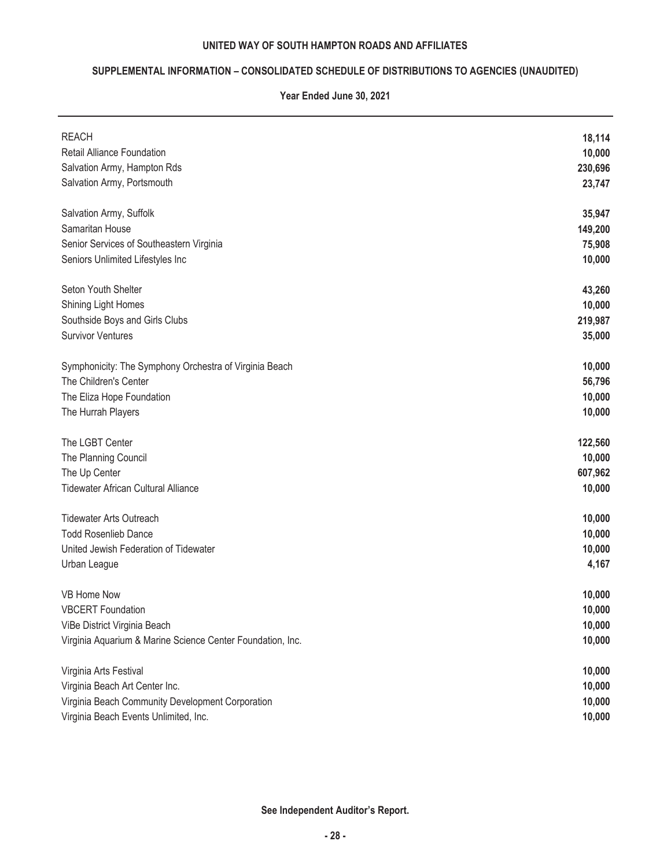# **SUPPLEMENTAL INFORMATION – CONSOLIDATED SCHEDULE OF DISTRIBUTIONS TO AGENCIES (UNAUDITED)**

## **Year Ended June 30, 2021**

| <b>REACH</b>                                               | 18,114  |
|------------------------------------------------------------|---------|
| Retail Alliance Foundation                                 | 10,000  |
| Salvation Army, Hampton Rds                                | 230,696 |
| Salvation Army, Portsmouth                                 | 23,747  |
| Salvation Army, Suffolk                                    | 35,947  |
| Samaritan House                                            | 149,200 |
| Senior Services of Southeastern Virginia                   | 75,908  |
| Seniors Unlimited Lifestyles Inc                           | 10,000  |
| Seton Youth Shelter                                        | 43,260  |
| <b>Shining Light Homes</b>                                 | 10,000  |
| Southside Boys and Girls Clubs                             | 219,987 |
| <b>Survivor Ventures</b>                                   | 35,000  |
| Symphonicity: The Symphony Orchestra of Virginia Beach     | 10,000  |
| The Children's Center                                      | 56,796  |
| The Eliza Hope Foundation                                  | 10,000  |
| The Hurrah Players                                         | 10,000  |
| The LGBT Center                                            | 122,560 |
| The Planning Council                                       | 10,000  |
| The Up Center                                              | 607,962 |
| <b>Tidewater African Cultural Alliance</b>                 | 10,000  |
| <b>Tidewater Arts Outreach</b>                             | 10,000  |
| <b>Todd Rosenlieb Dance</b>                                | 10,000  |
| United Jewish Federation of Tidewater                      | 10,000  |
| Urban League                                               | 4,167   |
| VB Home Now                                                | 10,000  |
| <b>VBCERT</b> Foundation                                   | 10,000  |
| ViBe District Virginia Beach                               | 10,000  |
| Virginia Aquarium & Marine Science Center Foundation, Inc. | 10,000  |
| Virginia Arts Festival                                     | 10,000  |
| Virginia Beach Art Center Inc.                             | 10,000  |
| Virginia Beach Community Development Corporation           | 10,000  |
| Virginia Beach Events Unlimited, Inc.                      | 10,000  |